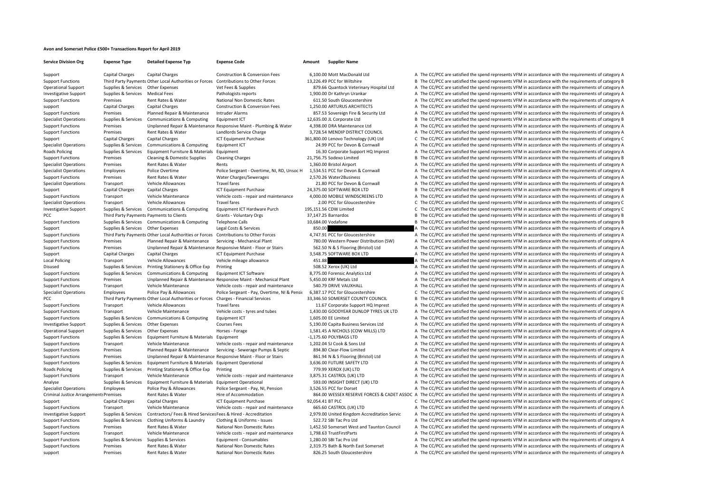## **Avon and Somerset Police £500+ Transactions Report for April 2019**

| <b>Service Division Org</b>                   | <b>Expense Type</b>                | <b>Detailed Expense Typ</b>                                     | <b>Expense Code</b>                                                | Amount           | <b>Supplier Name</b>                         |                                                                                                                                                  |
|-----------------------------------------------|------------------------------------|-----------------------------------------------------------------|--------------------------------------------------------------------|------------------|----------------------------------------------|--------------------------------------------------------------------------------------------------------------------------------------------------|
| Support                                       | Capital Charges                    | Capital Charges                                                 | <b>Construction &amp; Conversion Fees</b>                          |                  | 6,100.00 Mott MacDonald Ltd                  | A The CC/PCC are satisfied the spend represents VFM in accordance with the requirements of category A                                            |
| <b>Support Functions</b>                      |                                    | Third Party Payments Other Local Authorities or Forces          | Contributions to Other Forces                                      |                  | 13.226.49 PCC for Wiltshire                  | B The CC/PCC are satisfied the spend represents VFM in accordance with the requirements of category B                                            |
| <b>Operational Support</b>                    | Supplies & Services Other Expenses |                                                                 | Vet Fees & Supplies                                                |                  | 879.66 Quantock Veterinary Hospital Ltd      | A The CC/PCC are satisfied the spend represents VFM in accordance with the requirements of category A                                            |
| <b>Investigative Support</b>                  | Supplies & Services                | <b>Medical Fees</b>                                             | Pathologists reports                                               |                  | 1,900.00 Dr Kathryn Urankar                  | A The CC/PCC are satisfied the spend represents VFM in accordance with the requirements of category A                                            |
| <b>Support Functions</b>                      | Premises                           | Rent Rates & Water                                              | National Non Domestic Rates                                        |                  | 611.50 South Gloucestershire                 | A The CC/PCC are satisfied the spend represents VFM in accordance with the requirements of category A                                            |
| support                                       | Capital Charges                    | Capital Charges                                                 | <b>Construction &amp; Conversion Fees</b>                          |                  | 1,250.00 ARTURUS ARCHITECTS                  | A The CC/PCC are satisfied the spend represents VFM in accordance with the requirements of category A                                            |
| <b>Support Functions</b>                      | Premises                           | Planned Repair & Maintenance                                    | Intruder Alarms                                                    |                  | 857.53 Sovereign Fire & Security Ltd         | A The CC/PCC are satisfied the spend represents VFM in accordance with the requirements of category A                                            |
| <b>Specialist Operations</b>                  | Supplies & Services                | Communications & Computing                                      | Equipment ICT                                                      |                  | 12,635.00 JL Corporate Ltd                   | B The CC/PCC are satisfied the spend represents VFM in accordance with the requirements of category B                                            |
| <b>Support Functions</b>                      | Premises                           |                                                                 | Unplanned Repair & Maintenance Responsive Maint - Plumbing & Water |                  | 4,398.00 DRA Maintenance Ltd                 | A The CC/PCC are satisfied the spend represents VFM in accordance with the requirements of category A                                            |
| <b>Support Functions</b>                      | Premises                           | Rent Rates & Water                                              | Landlords Service Charge                                           |                  | 3,728.54 MENDIP DISTRICT COUNCIL             | A The CC/PCC are satisfied the spend represents VFM in accordance with the requirements of category A                                            |
| Support                                       | Capital Charges                    | <b>Capital Charges</b>                                          | ICT Equipment Purchase                                             |                  | 361,800.00 Lenovo Technology (UK) Ltd        | C The CC/PCC are satisfied the spend represents VFM in accordance with the requirements of category C                                            |
| <b>Specialist Operations</b>                  | Supplies & Services                | Communications & Computing                                      | Equipment ICT                                                      |                  | 24.99 PCC for Devon & Cornwall               | A The CC/PCC are satisfied the spend represents VFM in accordance with the requirements of category A                                            |
| <b>Roads Policing</b>                         | Supplies & Services                | Equipment Furniture & Materials                                 | Equipment                                                          |                  | 16.30 Corporate Support HQ Imprest           | A The CC/PCC are satisfied the spend represents VFM in accordance with the requirements of category A                                            |
| <b>Support Functions</b>                      | Premises                           | Cleaning & Domestic Supplies                                    | <b>Cleaning Charges</b>                                            |                  | 21,756.75 Sodexo Limited                     | B The CC/PCC are satisfied the spend represents VFM in accordance with the requirements of category B                                            |
| <b>Specialist Operations</b>                  | Premises                           | Rent Rates & Water                                              | Rents                                                              |                  | 1,360.00 Bristol Airport                     | A The CC/PCC are satisfied the spend represents VFM in accordance with the requirements of category A                                            |
| <b>Specialist Operations</b>                  | Employees                          | Police Overtime                                                 | Police Sergeant - Overtime, NI, RD, Unsoc H                        |                  | 1,534.51 PCC for Devon & Cornwall            | A The CC/PCC are satisfied the spend represents VFM in accordance with the requirements of category A                                            |
| <b>Support Functions</b>                      | Premises                           | Rent Rates & Water                                              | Water Charges/Sewerages                                            |                  | 2.570.26 Water2Business                      | A The CC/PCC are satisfied the spend represents VFM in accordance with the requirements of category A                                            |
| <b>Specialist Operations</b>                  | Transport                          | <b>Vehicle Allowances</b>                                       | <b>Travel fares</b>                                                |                  | 21.80 PCC for Devon & Cornwall               | A The CC/PCC are satisfied the spend represents VFM in accordance with the requirements of category A                                            |
|                                               | <b>Capital Charges</b>             | <b>Capital Charges</b>                                          | ICT Equipment Purchase                                             |                  | 24,375.00 SOFTWARE BOX LTD                   | B The CC/PCC are satisfied the spend represents VFM in accordance with the requirements of category B                                            |
| Support                                       |                                    |                                                                 |                                                                    |                  | 4,000.00 MOBILE WINDSCREENS LTD              |                                                                                                                                                  |
| <b>Support Functions</b>                      | Transport                          | Vehicle Maintenance                                             | Vehicle costs - repair and maintenance                             |                  |                                              | A The CC/PCC are satisfied the spend represents VFM in accordance with the requirements of category A                                            |
| <b>Specialist Operations</b>                  | Transport                          | <b>Vehicle Allowances</b>                                       | <b>Travel fares</b>                                                |                  | 2.00 PCC for Gloucestershire                 | C The CC/PCC are satisfied the spend represents VFM in accordance with the requirements of category C                                            |
| <b>Investigative Support</b>                  | Supplies & Services                | Communications & Computing                                      | Equipment ICT Hardware Purch                                       |                  | 195,151.56 CDW Limited                       | C The CC/PCC are satisfied the spend represents VFM in accordance with the requirements of category C                                            |
| PCC                                           |                                    | Third Party Payments Payments to Clients                        | Grants - Voluntary Orgs                                            |                  | 37,147.25 Barnardos                          | B The CC/PCC are satisfied the spend represents VFM in accordance with the requirements of category B                                            |
| <b>Support Functions</b>                      |                                    | Supplies & Services Communications & Computing                  | <b>Telephone Calls</b>                                             |                  | 10,684.00 Vodafone                           | B The CC/PCC are satisfied the spend represents VFM in accordance with the requirements of category B                                            |
| Support                                       | Supplies & Services                | Other Expenses                                                  | Legal Costs & Services                                             | 850.00           |                                              | A The CC/PCC are satisfied the spend represents VFM in accordance with the requirements of category A                                            |
| <b>Support Functions</b>                      |                                    | Third Party Payments Other Local Authorities or Forces          | Contributions to Other Forces                                      |                  | 4,747.91 PCC for Gloucestershire             | A The CC/PCC are satisfied the spend represents VFM in accordance with the requirements of category A                                            |
| <b>Support Functions</b>                      | Premises                           | Planned Repair & Maintenance                                    | Servicing - Mechanical Plant                                       |                  | 780.00 Western Power Distribution (SW)       | A The CC/PCC are satisfied the spend represents VFM in accordance with the requirements of category A                                            |
| <b>Support Functions</b>                      | Premises                           |                                                                 | Unplanned Repair & Maintenance Responsive Maint - Floor or Stairs  |                  | 562.50 N & S Flooring (Bristol) Ltd          | A The CC/PCC are satisfied the spend represents VFM in accordance with the requirements of category A                                            |
| Support                                       | Capital Charges                    | <b>Capital Charges</b>                                          | <b>ICT Equipment Purchase</b>                                      |                  | 3,548.75 SOFTWARE BOX LTD                    | A The CC/PCC are satisfied the spend represents VFM in accordance with the requirements of category A                                            |
| <b>Local Policing</b>                         | Transport                          | <b>Vehicle Allowances</b>                                       | Vehicle mileage allowance                                          | 451.88           |                                              | A The CC/PCC are satisfied the spend represents VFM in accordance with the requirements of category A                                            |
| Disused                                       | Supplies & Services                | Printing Stationery & Office Exp                                | Printing                                                           |                  | 508.52 Xerox (UK) Ltd                        | A The CC/PCC are satisfied the spend represents VFM in accordance with the requirements of category A                                            |
| <b>Support Functions</b>                      | Supplies & Services                | Communications & Computing                                      | Equipment ICT Software                                             |                  | 8,775.00 Forensic Analytics Ltd              | A The CC/PCC are satisfied the spend represents VFM in accordance with the requirements of category A                                            |
| <b>Support Functions</b>                      | Premises                           |                                                                 | Unplanned Repair & Maintenance Responsive Maint - Mechanical Plant |                  | 5.450.00 KRF Metals Ltd                      | A The CC/PCC are satisfied the spend represents VFM in accordance with the requirements of category A                                            |
| <b>Support Functions</b>                      | Transport                          | Vehicle Maintenance                                             | Vehicle costs - repair and maintenance                             |                  | 540.79 DRIVE VAUXHALL                        | A The CC/PCC are satisfied the spend represents VFM in accordance with the requirements of category A                                            |
| <b>Specialist Operations</b>                  | Employees                          | Police Pay & Allowances                                         | Police Sergeant - Pay, Overtime, NI & Pensic                       |                  | 6,387.17 PCC for Gloucestershire             | C The CC/PCC are satisfied the spend represents VFM in accordance with the requirements of category C                                            |
| PCC                                           |                                    | Third Party Payments Other Local Authorities or Forces          | Charges - Financial Services                                       |                  | 33,346.50 SOMERSET COUNTY COUNCIL            | B The CC/PCC are satisfied the spend represents VFM in accordance with the requirements of category B                                            |
| <b>Support Functions</b>                      | Transport                          | <b>Vehicle Allowances</b>                                       | <b>Travel fares</b>                                                |                  | 11.67 Corporate Support HQ Imprest           | A The CC/PCC are satisfied the spend represents VFM in accordance with the requirements of category A                                            |
| <b>Support Functions</b>                      | Transport                          | Vehicle Maintenance                                             | Vehicle costs - tyres and tubes                                    |                  | 1,430.00 GOODYEAR DUNLOP TYRES UK LTD        | A The CC/PCC are satisfied the spend represents VFM in accordance with the requirements of category A                                            |
| <b>Support Functions</b>                      | Supplies & Services                | Communications & Computing                                      | Equipment ICT                                                      |                  | 1.605.00 EE Limited                          | A The CC/PCC are satisfied the spend represents VFM in accordance with the requirements of category A                                            |
| <b>Investigative Support</b>                  | Supplies & Services                | Other Expenses                                                  | <b>Courses Fees</b>                                                |                  | 5,190.00 Capita Business Services Ltd        | A The CC/PCC are satisfied the spend represents VFM in accordance with the requirements of category A                                            |
| <b>Operational Support</b>                    | Supplies & Services                | Other Expenses                                                  | Horses - Forage                                                    |                  | 1,581.45 A NICHOLS (COW MILLS) LTD           | A The CC/PCC are satisfied the spend represents VFM in accordance with the requirements of category A                                            |
| <b>Support Functions</b>                      | Supplies & Services                | Equipment Furniture & Materials Equipment                       |                                                                    |                  | -1,175.60 POLYBAGS LTD                       | A The CC/PCC are satisfied the spend represents VFM in accordance with the requirements of category A                                            |
| <b>Support Functions</b>                      | Transport                          | Vehicle Maintenance                                             | Vehicle costs - repair and maintenance                             |                  | 1,202.04 SJ Cook & Sons Ltd                  | A The CC/PCC are satisfied the spend represents VFM in accordance with the requirements of category A                                            |
| <b>Support Functions</b>                      | Premises                           | Planned Repair & Maintenance                                    | Servicing - Sewerage Pumps & Septic                                |                  | 894.80 Clear-Flow Limited                    | A The CC/PCC are satisfied the spend represents VFM in accordance with the requirements of category A                                            |
| <b>Support Functions</b>                      | Premises                           |                                                                 | Unplanned Repair & Maintenance Responsive Maint - Floor or Stairs  |                  | 861.94 N & S Flooring (Bristol) Ltd          | A The CC/PCC are satisfied the spend represents VFM in accordance with the requirements of category A                                            |
| <b>Support Functions</b>                      | Supplies & Services                | Equipment Furniture & Materials Equipment Operational           |                                                                    |                  | 3,636.00 FUTURE SAFETY LTD                   | A The CC/PCC are satisfied the spend represents VFM in accordance with the requirements of category A                                            |
| <b>Roads Policing</b>                         | Supplies & Services                | Printing Stationery & Office Exp                                | Printing                                                           |                  | 779.99 XEROX (UK) LTD                        | A The CC/PCC are satisfied the spend represents VFM in accordance with the requirements of category A                                            |
| <b>Support Functions</b>                      | Transport                          | Vehicle Maintenance                                             | Vehicle costs - repair and maintenance                             |                  | 3,875.31 CASTROL (UK) LTD                    | A The CC/PCC are satisfied the spend represents VFM in accordance with the requirements of category A                                            |
| Analyse                                       | Supplies & Services                | Equipment Furniture & Materials                                 | <b>Equipment Operational</b>                                       |                  | 593.00 INSIGHT DIRECT (UK) LTD               | A The CC/PCC are satisfied the spend represents VFM in accordance with the requirements of category A                                            |
| <b>Specialist Operations</b>                  | Employees                          | Police Pay & Allowances                                         | Police Sergeant - Pay, NI, Pension                                 |                  | 3,526.55 PCC for Dorset                      | A The CC/PCC are satisfied the spend represents VFM in accordance with the requirements of category A                                            |
| <b>Criminal Justice Arrangements Premises</b> |                                    | Rent Rates & Water                                              | Hire of Accommodation                                              |                  |                                              | 864.00 WESSEX RESERVE FORCES & CADET ASSOC A The CC/PCC are satisfied the spend represents VFM in accordance with the requirements of category A |
| Support                                       | Capital Charges                    | Capital Charges                                                 | <b>ICT Equipment Purchase</b>                                      | 92.054.41 BT PLC |                                              | C The CC/PCC are satisfied the spend represents VFM in accordance with the requirements of category C                                            |
| <b>Support Functions</b>                      | Transport                          | Vehicle Maintenance                                             | Vehicle costs - repair and maintenance                             |                  | 665.60 CASTROL (UK) LTD                      | A The CC/PCC are satisfied the spend represents VFM in accordance with the requirements of category A                                            |
| <b>Investigative Support</b>                  | Supplies & Services                | Contractors/ Fees & Hired Services Fees & Hired - Accreditation |                                                                    |                  | 2,979.00 United Kingdom Accreditation Servic | A The CC/PCC are satisfied the spend represents VFM in accordance with the requirements of category A                                            |
| <b>Support Functions</b>                      | Supplies & Services                | Clothing Uniforms & Laundry                                     | Clothing & Uniforms - Issues                                       |                  | 522.72 SBI Tac Pro Ltd                       | A The CC/PCC are satisfied the spend represents VFM in accordance with the requirements of category A                                            |
| <b>Support Functions</b>                      | Premises                           | Rent Rates & Water                                              | National Non Domestic Rates                                        |                  | 1,452.50 Somerset West and Taunton Council   | A The CC/PCC are satisfied the spend represents VFM in accordance with the requirements of category A                                            |
| <b>Support Functions</b>                      | Transport                          | Vehicle Maintenance                                             | Vehicle costs - repair and maintenance                             |                  | 1,798.63 TrustFirstParts                     | A The CC/PCC are satisfied the spend represents VFM in accordance with the requirements of category A                                            |
| <b>Support Functions</b>                      | Supplies & Services                | Supplies & Services                                             | Equipment - Consumables                                            |                  | 1,280.00 SBI Tac Pro Ltd                     | A The CC/PCC are satisfied the spend represents VFM in accordance with the requirements of category A                                            |
| <b>Support Functions</b>                      | Premises                           | Rent Rates & Water                                              | National Non Domestic Rates                                        |                  | 2,319.75 Bath & North East Somerset          | A The CC/PCC are satisfied the spend represents VFM in accordance with the requirements of category A                                            |
| support                                       | Premises                           | Rent Rates & Water                                              | National Non Domestic Rates                                        |                  | 826.25 South Gloucestershire                 | A The CC/PCC are satisfied the spend represents VFM in accordance with the requirements of category A                                            |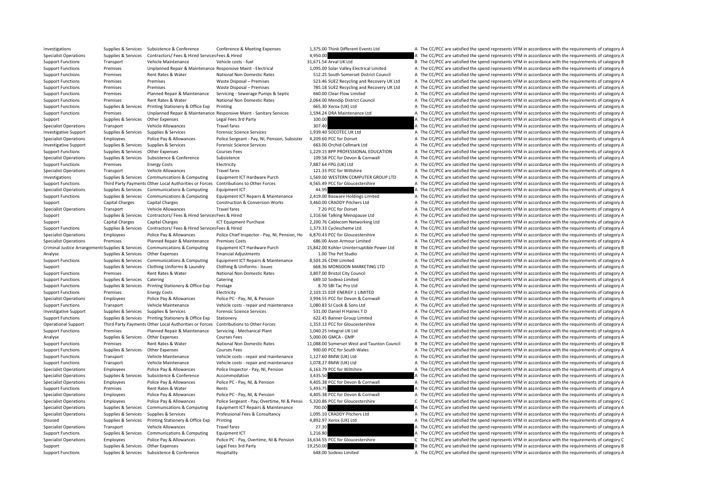Investigations Supplies & Services Subsistence & Conference Conference Conference Conference Conference Conference Conference Conference Conference Presents and the Subsistence of category A The CC/PCC are satisfied the sp Specialist Operations Supplies & Services Contractors/ Fees & Hired Services Fees & Hired 4,950.00 A The CC/PCC are satisfied the spend represents VFM in accordance with the requirements of category A Support Functions Transport Vehicle Maintenance Vehicle costs - fuel 31,671.54 Arval UK Ltd B The CC/PCC are satisfied the spend represents VFM in accordance with the requirements of category B Support Functions Premises Unplanned Repair & Maintenance Responsive Maint - Electrical 1.095.00 Solar Valley Electrical Limited A The CC/PCC are satisfied the spend represents VFM in accordance with the requirements of ca Support Functions Premises Rent Rates & Water National Non Domestic Rates 512.25 South Somerset District Council A The CC/PCC are satisfied the spend represents VFM in accordance with the requirements of category A Support Functions Premises Premises Premises Waste Disposal – Premises 523.46 SUEZ Recycling and Recovery UK Ltd A The CC/PCC are satisfied the spend represents VFM in accordance with the requirements of category A Support Functions Premises Premises Waste Disposal – Premises 785.18 SUEZ Recycling and Recovery UK Ltd A The CC/PCC are satisfied the spend represents VFM in accordance with the requirements of category A Support Functions Premises Planned Repair & Maintenance Servicing - Sewerage Pumps & Septic 660.00 Clear‐Flow Limited A The CC/PCC are satisfied the spend represents VFM in accordance with the requirements of category A Support Functions Premises Rent Rates & Water National Non Domestic Rates 2,064.00 Mendip District Council A The CC/PCC are satisfied the spend represents VFM in accordance with the requirements of category A Support Functions Supplies & Services Printing Stationery & Office Exp Printing exp Printing 665.30 Xerox (UK) Ltd A The CC/PCC are satisfied the spend represents VFM in accordance with the requirements of category A Support Functions Premises Unplanned Repair & Maintenance Responsive Maint - Sanitary Services 1.594.24 DRA Maintenance Ltd A The CC/PCC are satisfied the spend represents VFM in accordance with the requirements of categor Support Supplies & Services Other Expenses Legal Fees 3rd Party 100.00 100.00 A The CC/PCC are satisfied the spend represents VFM in accordance with the requirements of category A Specialist Operations Transport Vehicle Allowances Travel fares Travel fares 307.40 A The CC/PCC are satisfied the spend represents VFM in accordance with the requirements of category A Investigative Support Supplies & Services Supplies & Services Forensic Science Services Forensic Science Services 1,939.40 SOCOTEC UK Ltd A The CC/PCC are satisfied the spend represents VFM in accordance with the requireme Specialist Operations Employees Police Pay & Allowances Police Sergeant - Pay, NI, Pension, Subsister 4,209.60 PCC for Dorset A The CC/PCC are satisfied the spend represents VFM in accordance with the requirements of categ Investigative Support Supplies & Services Supplies & Services Forensic Science Services Forensic Science Services 663.00 Orchid Cellmark Ltd A The CC/PCC are satisfied the spend represents VFM in accordance with the requir Support Functions Supplies & Services Other Expenses Courses Fees Courses Fees 1,229.15 BPP PROFESSIONAL EDUCATION A The CC/PCC are satisfied the spend represents VFM in accordance with the requirements of category A Specialist Operations Supplies & Services Subsistence Subsistence Subsistence Subsistence Subsistence Subsistence Subsistence Subsistence Subsistence Subsistence Subsistence Subsistence and the section of Cornwall A The CC Support Functions Premises Energy Costs Electricity Electricity 7,887.64 FPG (UK) Ltd A The CC/PCC are satisfied the spend represents VFM in accordance with the requirements of category A Specialist Operations Transport Vehicle Allowances Travel fares Travel fares 121.33 PCC for Wiltshire A The CC/PCC are satisfied the spend represents VFM in accordance with the requirements of category A Investigations Supplies & Services Communications & Computing Equipment ICT Hardware Purch 1,569.00 WESTERN COMPUTER GROUP LTD A The CC/PCC are satisfied the spend represents VFM in accordance with the requirements of cate Support Functions Third Party Payments Other Local Authorities or Forces Contributions to Other Forces and also and a 4.565.49 PCC for Gloucestershire A The CC/PCC are satisfied the spend represents VFM in accordance with Specialist Operations Supplies & Services Communications & Computing Equipment ICT 44.99 44.99 A The CC/PCC are satisfied the spend represents VFM in accordance with the requirements of category A Support Functions Supplies & Services Communications & Computing Equipment ICT Repairs & Maintenance 2,419.00 Basware Holdings Limited A The CC/PCC are satisfied the spend represents VFM in accordance with the requirements Support Capital Charges Capital Charges Construction & Conversion Works 3,460.00 CRADDY Pitchers Ltd A The CC/PCC are satisfied the spend represents VFM in accordance with the requirements of category A Specialist Operations Transport Vehicle Allowances Travel fares Travel fares 7.20 PCC for Dorset A The CC/PCC are satisfied the spend represents VFM in accordance with the requirements of category A Support Supplies & Services Contractors/ Fees & Hired Services Fees & Hired 1.316.66 Talking Menopause Ltd A The CC/PCC are satisfied the spend represents VFM in accordance with the requirements of category A Support Capital Charges Capital Charges ICT Equipment Purchase 2,200.76 Cablecom Networking Ltd A The CC/PCC are satisfied the spend represents VFM in accordance with the requirements of category A Support Functions Supplies & Services Contractors/ Fees & Hired Services Fees & Hired 1,373.33 Cyclescheme Ltd A The CC/PCC are satisfied the spend represents VFM in accordance with the requirements of category A Specialist Operations Employees Police Pay & Allowances Police Chief Inspector - Pay, NI, Pension, Ho 6,870.43 PCC for Gloucestershire A The CC/PCC are satisfied the spend represents VFM in accordance with the requirements Specialist Operations Premises Planned Repair & Maintenance Premises Costs 686.00 Avon Armour Limited A The CC/PCC are satisfied the spend represents VFM in accordance with the requirements of category A Criminal Justice Arrangements Supplies & Services Communications & Computing Equipment ICT Hardware Purch 15.842.00 Kohler Uninterruptible Power Ltd B The CC/PCC are satisfied the spend represents VFM in accordance with th Analyse Supplies & Services Other Expenses Financial Adjustments Financial Adjustments 1.00 The Pet Studio A The CC/PCC are satisfied the spend represents VFM in accordance with the requirements of category A Support Functions Supplies & Services Communications & Computing Equipment ICT Repairs & Maintenance 8,503.26 CDW Limited A The CC/PCC are satisfied the spend represents VFM in accordance with the requirements of category Support Supplies & Services Clothing Uniforms & Laundry Clothing & Uniforms - Issues 668.36 MONSOON MARKETING LTD A The CC/PCC are satisfied the spend represents VFM in accordance with the requirements of category A Support Functions Premises Rent Rates & Water National Non Domestic Rates 3,807.00 Bristol City Council A The CC/PCC are satisfied the spend represents VFM in accordance with the requirements of category A Support Functions Supplies & Services Catering Catering Catering Catering Catering Catering Catering Catering Catering Catering Catering Catering Catering Catering Catering Catering Catering Catering Catering Catering Cate Support Functions Supplies & Services Printing Stationery & Office Exp Postage 8.70 SBI Tac Pro Ltd A The CC/PCC are satisfied the spend represents VFM in accordance with the requirements of category A Support Functions Premises Energy Costs Electricity Electricity 2,103.15 EDF ENERGY 1 LIMITED A The CC/PCC are satisfied the spend represents VFM in accordance with the requirements of category A Specialist Operations Employees Police Pay & Allowances Police PC - Pay, NI, & Pension 3,994.55 PCC for Devon & Cornwall A The CC/PCC are satisfied the spend represents VFM in accordance with the requirements of category A Support Functions Transport Vehicle Maintenance Vehicle costs - repair and maintenance 1,080.83 SJ Cook & Sons Ltd A The CC/PCC are satisfied the spend represents VFM in accordance with the requirements of category A Investigative Support Supplies & Services Supplies & Services Forensic Science Services Forensic Science Services 531.00 Daniel H Haines T D A The CC/PCC are satisfied the spend represents VFM in accordance with the requir Support Functions Supplies & Services Printing Stationery & Office Exp Stationery 60 and the Stationery 60 and the Stationery A The CC/PCC are satisfied the spend represents VFM in accordance with the requirements of categ Operational Support Third Party Payments Other Local Authorities or Forces Contributions to Other Forces 1.353.13 PCC for Gloucestershire A The CC/PCC are satisfied the spend represents VFM in accordance with the requireme Support Functions Premises Planned Repair & Maintenance Servicing - Mechanical Plant 1,040.25 Integral UK Ltd A The CC/PCC are satisfied the spend represents VFM in accordance with the requirements of category A Analyse Supplies & Services Other Expenses Courses Fees Courses Fees 5,000.00 GMCA - GMP A The CC/PCC are satisfied the spend represents VFM in accordance with the requirements of category A Support Functions Premises Rent Rates & Water National Non Domestic Rates 11,088.00 Somerset West and Taunton Council B The CC/PCC are satisfied the spend represents VFM in accordance with the requirements of category B Support Functions Supplies & Services Other Expenses Courses Fees Courses Fees 900.00 PCC for South Wales A The CC/PCC are satisfied the spend represents VFM in accordance with the requirements of category A Support Functions Transport Vehicle Maintenance Vehicle costs - repair and maintenance 1,127.60 BMW (UK) Ltd A The CC/PCC are satisfied the spend represents VFM in accordance with the requirements of category A Support Functions Transport Vehicle Maintenance Vehicle costs - repair and maintenance 1,078.27 BMW (UK) Ltd A The CC/PCC are satisfied the spend represents VFM in accordance with the requirements of category A Specialist Operations Employees Police Pay & Allowances Police Inspector - Pay, NI, Pension 6,163.79 PCC for Wiltshire A The CC/PCC are satisfied the spend represents VFM in accordance with the requirements of category A Specialist Operations Supplies & Services Subsistence Accommodation Accommodation 3,435.50 A The CC/PCC are satisfied the spend represents VFM in accordance with the requirements of category A Specialist Operations Employees Police Pay & Allowances Police PC - Pay, NI, & Pension 4,405.38 PCC for Devon & Cornwall A The CC/PCC are satisfied the spend represents VFM in accordance with the requirements of category A Support Functions Premises Rent Rates & Water Rents Rents Rents SA93.75 A The CC/PCC are satisfied the spend represents VFM in accordance with the requirements of category A Specialist Operations Employees Police Pay & Allowances Police PC · Pay, NI, & Pension 4,405.38 PCC for Devon & Cornwall A The CC/PCC are satisfied the spend represents VFM in accordance with the requirements of category A Specialist Operations Employees Police Pay & Allowances Police Sergeant - Pay, Overtime, NI & Pensi 5,320.86 PCC for Gloucestershire C The CC/PCC are satisfied the spend represents VFM in accordance with the requirements o Specialist Operations Supplies & Services Communications & Computing Equipment ICT Repairs & Maintenance 700.00 700.00 A The CC/PCC are satisfied the spend represents VFM in accordance with the requirements of category A Specialist Operations Supplies & Services Supplies & Services Professional Fees & Consultancy 1,095.10 CRADDY Pitchers Ltd A The CC/PCC are satisfied the spend represents VFM in accordance with the requirements of category Disused Supplies & Services Printing Stationery & Office Exp Printing exp Printing 4,892.97 Xerox (UK) Ltd A The CC/PCC are satisfied the spend represents VFM in accordance with the requirements of category A Specialist Operations Transport Vehicle Allowances Travel fares 27.30 27.30 A The CC/PCC are satisfied the spend represents VFM in accordance with the requirements of category A Support Functions Supplies & Services Communications & Computing Equipment ICT 1,216.80 A The CC/PCC are satisfied the spend represents VFM in accordance with the requirements of category A Specialist Operations Employees Police Pay & Allowances Police PC - Pay, Overtime, NI & Pension 16,634.55 PCC for Gloucestershire C The CC/PCC are satisfied the spend represents VFM in accordance with the requirements of c Supplies & Services Other Expenses Legal Fees 3rd Party 19,250.00 19,250.00 B The CC/PCC are satisfied the spend represents VFM in accordance with the requirements of category B Support Functions Supplies & Services Subsistence Buspitality Hospitality 648.00 Sodexo Limited A The CC/PCC are satisfied the spend represents VFM in accordance with the requirements of category A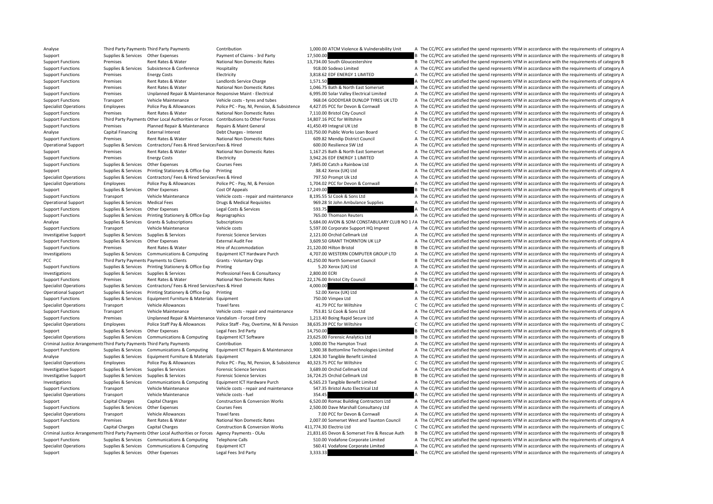Analyse Third Party Payments Third Party Payments Contribution Contribution 1,000.00 ATCM Violence & Vulnderability Unit A The CC/PCC are satisfied the spend represents VFM in accordance with the requirements of category A Support Supplies & Services Other Expenses Payment of Claims - 3rd Party 17,500.00 17,500.00 B The CC/PCC are satisfied the spend represents VFM in accordance with the requirements of category B Support Functions Premises Rent Rates & Water National Non Domestic Rates 13,734.00 South Gloucestershire B The CC/PCC are satisfied the spend represents VFM in accordance with the requirements of category B Support Functions Supplies & Services Subsistence & Conference Hospitality Hospitality 918.00 Sodexo Limited A The CC/PCC are satisfied the spend represents VFM in accordance with the requirements of category A Support Functions Premises Fnergy Costs Electricity Electricity 3,818.62 EDF ENERGY 1 LIMITED A The CC/PCC are satisfied the spend represents VFM in accordance with the requirements of category A Support Functions Premises Rent Rates & Water Landlords Service Charge 1,571.50 A The CC/PCC are satisfied the spend represents VFM in accordance with the requirements of category A Support Premises Rent Rates & Water National Non Domestic Rates 1,046.75 Bath & North East Somerset A The CC/PCC are satisfied the spend represents VEM in accordance with the requirements of category A Support Functions Premises Unplanned Repair & Maintenance Responsive Maint - Electrical Support Responsive Maint - Electrical Support Function Limited A The CC/PCC are satisfied the spend represents VFM in accordance with Support Functions Transport Vehicle Maintenance Vehicle costs - tyres and tubes 968.04 GOODYEAR DUNLOP TYRES UK LTD A The CC/PCC are satisfied the spend represents VFM in accordance with the requirements of category A Specialist Operations Employees Police Pay & Allowances Police PC - Pay, NI, Pension, & Subsistence 4,427.05 PCC for Devon & Cornwall A The CC/PCC are satisfied the spend represents VFM in accordance with the requirements Support Functions Premises Rent Rates & Water National Non Domestic Rates 7.110.00 Bristol City Council A The CC/PCC are satisfied the spend represents VFM in accordance with the requirements of category A Support Functions Third Party Payments Other Local Authorities or Forces Contributions to Other Forces 14.807.16 PCC for Wiltshire B. The CC/PCC are satisfied the spend represents VFM in accordance with the requirements of Support Functions Premises Planned Repair & Maintenance Repairs & Maint General 41,450.49 Integral UK Ltd B The CC/PCC are satisfied the spend represents VFM in accordance with the requirements of category B Analyse Capital Financing External Interest Debt Charges - Interest 110,750.00 Public Works Loan Board C The CC/PCC are satisfied the spend represents VFM in accordance with the requirements of category C Support Functions Premises Rent Rates & Water National Non Domestic Rates 609.82 Mendip District Council A The CC/PCC are satisfied the spend represents VFM in accordance with the requirements of category A Operational Support Supplies & Services Contractors/ Fees & Hired Services Fees & Hired Services Fees & Hired 600.00 Resilience SW Ltd A The CC/PCC are satisfied the spend represents VFM in accordance with the requirements Support Premises Rent Rates & Water National Non Domestic Rates 1,167.25 Bath & North East Somerset A The CC/PCC are satisfied the spend represents VFM in accordance with the requirements of category A Support Functions Premises Energy Costs Electricity Electricity 3,942.26 EDF ENERGY 1 LIMITED A The CC/PCC are satisfied the spend represents VFM in accordance with the requirements of category A Support Functions Supplies & Services Other Expenses Courses Fees 200 Catch a Rainbow Ltd A The CC/PCC are satisfied the spend represents VFM in accordance with the requirements of category A Support Supplies & Services Printing Stationery & Office Exp Printing 38.42 Xerox (UK) Ltd A The CC/PCC are satisfied the spend represents VFM in accordance with the requirements of category A Specialist Operations Supplies & Services Contractors/ Fees & Hired Services Fees & Hired ServicesFees & Hired The CONSERVITH A The CC/PCC are satisfied the spend represents VFM in accordance with the requirements of categ Specialist Operations Employees Police Pay & Allowances Police PC - Pay, NI, & Pension 1,704.02 PCC for Devon & Cornwall A The CC/PCC are satisfied the spend represents VFM in accordance with the requirements of category A Support Supplies & Services Other Expenses Cost Of Appeals Cost Of Appeals 17,249.00 B The CC/PCC are satisfied the spend represents VFM in accordance with the requirements of category B Support Functions Transport Vehicle Maintenance Vehicle costs - repair and maintenance 8,195.55 SJ Cook & Sons Ltd A The CC/PCC are satisfied the spend represents VFM in accordance with the requirements of category A Operational Support Supplies & Services Medical Fees Drugs & Medical Requisites 969.28 St John Ambulance Supplies A The CC/PCC are satisfied the spend represents VFM in accordance with the requirements of category A Support Functions Supplies & Services Other Expenses Legal Costs & Services 593.75 Services Supplies and Functions Supplies a Support of category A The CC/PCC are satisfied the spend represents VFM in accordance with the r Support Functions Supplies & Services Printing Stationery & Office Exp Reprographics 765.00 Thomson Reuters A The CC/PCC are satisfied the spend represents VFM in accordance with the requirements of category A Analyse Supplies & Services Grants & Subscriptions Subscriptions Subscriptions Subscriptions Subscriptions Subscriptions 5,684.00 AVON & SOM CONSTABULARY CLUB NO 1 A The CC/PCC are satisfied the spend represents VFM in acc Support Functions Transport Vehicle Maintenance Vehicle costs S.597.00 Corporate Support HQ Imprest A The CC/PCC are satisfied the spend represents VFM in accordance with the requirements of category A Investigative Support Supplies & Services Supplies & Services Forensic Science Services Forensic Science Services 2,121.00 Orchid Cellmark Ltd A The CC/PCC are satisfied the spend represents VFM in accordance with the requ Support Functions Supplies & Services Other Expenses External Audit Fee 3,609.50 GRANT THORNTON UK LLP A The CC/PCC are satisfied the spend represents VFM in accordance with the requirements of category A Support Functions Premises Rent Rates & Water Hire of Accommodation 21.120.00 Hilton Bristol B The CC/PCC are satisfied the spend represents VFM in accordance with the requirements of category B Investigations Supplies & Services Communications & Computing Equipment ICT Hardware Purch 4.707.00 WESTERN COMPUTER GROUP LTD A The CC/PCC are satisfied the spend represents VFM in accordance with the requirements of cate PCC Third Party Payments Payments to Clients Grants - Voluntary Orgs 41,250.00 North Somerset Council B The CC/PCC are satisfied the spend represents VFM in accordance with the requirements of category B Support Functions Supplies & Services Printing Stationery & Office Exp Printing The Trinting 5.20 Xerox (UK) Ltd A The CC/PCC are satisfied the spend represents VFM in accordance with the requirements of category A Investigations Supplies & Services Supplies & Services Professional Fees & Consultancy 2,800.00 ECRI A The CC/PCC are satisfied the spend represents VFM in accordance with the requirements of category A Support Functions Premises Rent Rates & Water National Non Domestic Rates 22,176.00 Bristol City Council B The CC/PCC are satisfied the spend represents VFM in accordance with the requirements of category B Specialist Operations Supplies & Services Contractors/ Fees & Hired Services Fees & Hired 4,000.00 A The CC/PCC are satisfied the spend represents VFM in accordance with the requirements of category A Operational Support Supplies & Services Printing Stationery & Office Exp Printing Stationery & Office Exp Printing 52.00 Xerox (UK) Ltd A The CC/PCC are satisfied the spend represents VFM in accordance with the requirement Support Functions Supplies & Services Equipment Furniture & Materials Equipment 750.00 Vimpex Ltd A The CC/PCC are satisfied the spend represents VFM in accordance with the requirements of category A Specialist Operations Transport Vehicle Allowances Travel fares and the spend of category C The CC/PCC are satisfied the spend represents VFM in accordance with the requirements of category C Support Functions Transport Vehicle Maintenance Vehicle costs - repair and maintenance 753.81 SJ Cook & Sons Ltd A The CC/PCC are satisfied the spend represents VFM in accordance with the requirements of category A Support Functions Premises Unplanned Repair & Maintenance Vandalism ‐ Forced Entry 1,213.40 Boing Rapid Secure Ltd A The CC/PCC are satisfied the spend represents VFM in accordance with the requirements of category A Specialist Operations Employees Police Staff Pay & Allowances Police Staff - Pay, Overtime, NI & Pension 38.635.39 PCC for Wiltshire C The CC/PCC are satisfied the spend represents VFM in accordance with the requirements o Support Supplies & Services Other Expenses Legal Fees 3rd Party 14,750.00 14,750.00 B The CC/PCC are satisfied the spend represents VFM in accordance with the requirements of category B Specialist Operations Supplies & Services Communications & Computing Equipment ICT Software 23,625.00 Forensic Analytics Ltd B The CC/PCC are satisfied the spend represents VFM in accordance with the requirements of catego Criminal Justice Arrangements Third Party Payments Mird Party Payments Contribution Contribution 3,000.00 The Hampton Trust A The CC/PCC are satisfied the spend represents VFM in accordance with the requirements of categor Supplies & Services Communications & Computing Equipment ICT Repairs & Maintenance 1.900.38 Bottomline Technologies Limited A The CC/PCC are satisfied the spend represents VFM in accordance with the requirements of categor Analyse Supplies & Services Equipment Furniture & Materials Equipment 1,824.30 Tangible Benefit Limited A The CC/PCC are satisfied the spend represents VFM in accordance with the requirements of category A Specialist Operations Employees Police Pay & Allowances Police PC - Pay NJ Pension, & Subsistence 40.323.75 PCC for Wiltshire C. The CC/PCC are satisfied the spend represents VFM in accordance with the requirements of cate Investigative Support Supplies & Services Supplies & Services Forensic Science Services Forensic Science Services 3,689.00 Orchid Cellmark Ltd A The CC/PCC are satisfied the spend represents VFM in accordance with the requ Investigative Support Supplies & Services Supplies & Services Forensic Science Services 16,724.25 Orchid Cellmark Ltd B The CC/PCC are satisfied the spend represents VFM in accordance with the requirements of category B Investigations Supplies & Services Communications & Computing Equipment ICT Hardware Purch 6,565.23 Tangible Benefit Limited A The CC/PCC are satisfied the spend represents VFM in accordance with the requirements of catego Support Functions Transport Vehicle Maintenance Vehicle costs - repair and maintenance 547.35 Bristol Auto Electrical Ltd A The CC/PCC are satisfied the spend represents VFM in accordance with the requirements of category Specialist Operations Transport Vehicle Maintenance Vehicle costs – fuel 354.45 354.45 A The CC/PCC are satisfied the spend represents VFM in accordance with the requirements of category A Support Capital Charges Capital Charges Construction & Conversion Works 6,520.00 Romac Building Contractors Ltd A The CC/PCC are satisfied the spend represents VFM in accordance with the requirements of category A Support Functions Supplies & Services Other Expenses Courses Fees Courses Fees 2,500.00 Dave Marshall Consultancy Ltd A The CC/PCC are satisfied the spend represents VFM in accordance with the requirements of category A Specialist Operations Transport Vehicle Allowances Travel fares Travel fares 7.00 PCC for Devon & Cornwall A The CC/PCC are satisfied the spend represents VFM in accordance with the requirements of category A Support Functions Premises Rent Rates & Water National Non Domestic Rates 2.007.00 Somerset West and Taunton Council A The CC/PCC are satisfied the spend represents VFM in accordance with the requirements of category A Support Capital Charges Capital Charges Construction & Conversion Works 411,774.30 Electrio Ltd C The CC/PCC are satisfied the spend represents VFM in accordance with the requirements of category C Criminal Justice Arrangements Third Party Payments Other Local Authorities or Forces Agency Payments - OLAs 21,831.65 Devon & Somerset Fire & Rescue Auth B The CC/PCC are satisfied the spend represents VFM in accordance wi Support Functions Supplies & Services Communications & Computing Telephone Calls Support A The Computing A The CC/PCC are satisfied the spend represents VFM in accordance with the requirements of category A Secialist Opera Specialist Operations Supplies & Services Communications & Computing Equipment ICT 560.41 Vodafone Corporate Limited A The CC/PCC are satisfied the spend represents VFM in accordance with the requirements of category A Support Supplies & Services Other Expenses Legal Fees 3rd Party 3,333.33 A The CC/PCC are satisfied the spend represents VFM in accordance with the requirements of category A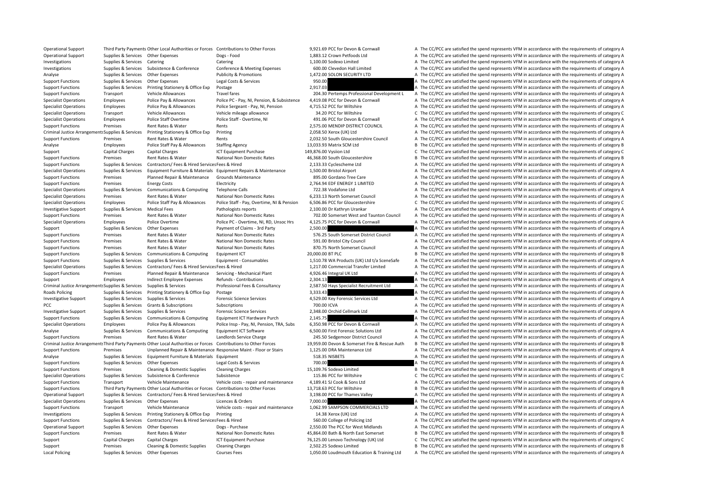| <b>Operational Support</b>                               |                                 | Third Party Payments Other Local Authorities or Forces                                                             | Contributions to Other Forces                                   |
|----------------------------------------------------------|---------------------------------|--------------------------------------------------------------------------------------------------------------------|-----------------------------------------------------------------|
| <b>Operational Support</b>                               | Supplies & Services             | <b>Other Expenses</b>                                                                                              | Dogs - Food                                                     |
| Investigations                                           | Supplies & Services             | Catering                                                                                                           | Catering                                                        |
| Investigations                                           | Supplies & Services             | Subsistence & Conference                                                                                           | Conference & Meeting Expenses                                   |
| Analyse                                                  | Supplies & Services             | <b>Other Expenses</b>                                                                                              | <b>Publicity &amp; Promotions</b>                               |
| <b>Support Functions</b>                                 | Supplies & Services             | <b>Other Expenses</b>                                                                                              | Legal Costs & Services                                          |
| <b>Support Functions</b>                                 | Supplies & Services             | Printing Stationery & Office Exp                                                                                   | Postage                                                         |
| <b>Support Functions</b>                                 | Transport                       | <b>Vehicle Allowances</b>                                                                                          | <b>Travel fares</b>                                             |
| <b>Specialist Operations</b>                             | Employees                       | Police Pay & Allowances                                                                                            | Police PC - Pay, NI, Pension, & Subsistence                     |
| <b>Specialist Operations</b>                             | Employees                       | Police Pay & Allowances                                                                                            | Police Sergeant - Pay, NI, Pension                              |
| <b>Specialist Operations</b>                             | Transport                       | <b>Vehicle Allowances</b>                                                                                          | Vehicle mileage allowance                                       |
| <b>Specialist Operations</b>                             | Employees                       | Police Staff Overtime                                                                                              | Police Staff - Overtime, NI                                     |
| <b>Support Functions</b>                                 | Premises                        | Rent Rates & Water                                                                                                 | Rents                                                           |
| Criminal Justice Arrangements Supplies & Services        |                                 | Printing Stationery & Office Exp                                                                                   | Printing                                                        |
| <b>Support Functions</b>                                 | Premises                        | Rent Rates & Water                                                                                                 | Rents                                                           |
| Analyse                                                  | Employees                       | Police Staff Pay & Allowances                                                                                      | <b>Staffing Agency</b>                                          |
| Support                                                  | <b>Capital Charges</b>          | Capital Charges                                                                                                    | <b>ICT Equipment Purchase</b>                                   |
| <b>Support Functions</b>                                 | Premises                        | Rent Rates & Water                                                                                                 | National Non Domestic Rates                                     |
| <b>Support Functions</b>                                 | Supplies & Services             | Contractors/ Fees & Hired Services Fees & Hired                                                                    |                                                                 |
|                                                          |                                 |                                                                                                                    | Equipment Furniture & Materials Equipment Repairs & Maintenance |
| <b>Specialist Operations</b><br><b>Support Functions</b> | Supplies & Services<br>Premises |                                                                                                                    | <b>Grounds Maintenance</b>                                      |
|                                                          |                                 | Planned Repair & Maintenance                                                                                       |                                                                 |
| <b>Support Functions</b>                                 | Premises                        | <b>Energy Costs</b>                                                                                                | Electricity                                                     |
| <b>Specialist Operations</b>                             | Supplies & Services             | <b>Communications &amp; Computing</b>                                                                              | <b>Telephone Calls</b>                                          |
| <b>Specialist Operations</b>                             | Premises                        | Rent Rates & Water                                                                                                 | National Non Domestic Rates                                     |
| <b>Specialist Operations</b>                             | Employees                       | Police Staff Pay & Allowances                                                                                      | Police Staff - Pay, Overtime, NI & Pension                      |
| <b>Investigative Support</b>                             | Supplies & Services             | <b>Medical Fees</b>                                                                                                | Pathologists reports                                            |
| <b>Support Functions</b>                                 | Premises                        | Rent Rates & Water                                                                                                 | National Non Domestic Rates                                     |
| <b>Specialist Operations</b>                             | Employees                       | Police Overtime                                                                                                    | Police PC - Overtime, NI, RD, Unsoc Hrs                         |
| Support                                                  | Supplies & Services             | <b>Other Expenses</b>                                                                                              | Payment of Claims - 3rd Party                                   |
| <b>Support Functions</b>                                 | Premises                        | Rent Rates & Water                                                                                                 | National Non Domestic Rates                                     |
| <b>Support Functions</b>                                 | Premises                        | Rent Rates & Water                                                                                                 | <b>National Non Domestic Rates</b>                              |
| <b>Support Functions</b>                                 | Premises                        | Rent Rates & Water                                                                                                 | National Non Domestic Rates                                     |
| <b>Support Functions</b>                                 | Supplies & Services             | <b>Communications &amp; Computing</b>                                                                              | Equipment ICT                                                   |
| <b>Support Functions</b>                                 | Supplies & Services             | Supplies & Services                                                                                                | Equipment - Consumables                                         |
| <b>Specialist Operations</b>                             | Supplies & Services             | Contractors/ Fees & Hired Services Fees & Hired                                                                    |                                                                 |
| <b>Support Functions</b>                                 | Premises                        | Planned Repair & Maintenance                                                                                       | Servicing - Mechanical Plant                                    |
| Support                                                  | Employees                       | <b>Indirect Employee Expenses</b>                                                                                  | Refunds - Contributions                                         |
| Criminal Justice Arrangements Supplies & Services        |                                 | Supplies & Services                                                                                                | Professional Fees & Consultancy                                 |
| Roads Policing                                           | Supplies & Services             | Printing Stationery & Office Exp                                                                                   | Postage                                                         |
| <b>Investigative Support</b>                             | Supplies & Services             | Supplies & Services                                                                                                | <b>Forensic Science Services</b>                                |
| <b>PCC</b>                                               | Supplies & Services             | Grants & Subscriptions                                                                                             | Subscriptions                                                   |
| <b>Investigative Support</b>                             | Supplies & Services             | Supplies & Services                                                                                                | <b>Forensic Science Services</b>                                |
| <b>Support Functions</b>                                 | Supplies & Services             | Communications & Computing                                                                                         | Equipment ICT Hardware Purch                                    |
| <b>Specialist Operations</b>                             | Employees                       | Police Pay & Allowances                                                                                            | Police Insp - Pay, NI, Pension, TRA, Subs                       |
| Analyse                                                  | Supplies & Services             | Communications & Computing                                                                                         | Equipment ICT Software                                          |
| <b>Support Functions</b>                                 | Premises                        | Rent Rates & Water                                                                                                 | Landlords Service Charge                                        |
|                                                          |                                 | Criminal Justice Arrangement: Third Party Payments Other Local Authorities or Forces Contributions to Other Forces |                                                                 |
| <b>Support Functions</b>                                 | Premises                        | Unplanned Repair & Maintenance Responsive Maint - Floor or Stairs                                                  |                                                                 |
| Analyse                                                  | Supplies & Services             | Equipment Furniture & Materials Equipment                                                                          |                                                                 |
|                                                          |                                 |                                                                                                                    |                                                                 |
| <b>Support Functions</b>                                 | Supplies & Services             | <b>Other Expenses</b>                                                                                              | Legal Costs & Services                                          |
| <b>Support Functions</b>                                 | Premises                        | <b>Cleaning &amp; Domestic Supplies</b>                                                                            | <b>Cleaning Charges</b>                                         |
| <b>Specialist Operations</b>                             | Supplies & Services             | Subsistence & Conference                                                                                           | Subsistence                                                     |
| <b>Support Functions</b>                                 | Transport                       | Vehicle Maintenance                                                                                                | Vehicle costs - repair and maintenance                          |
| <b>Support Functions</b>                                 |                                 | Third Party Payments Other Local Authorities or Forces Contributions to Other Forces                               |                                                                 |
| Operational Support                                      | Supplies & Services             | Contractors/ Fees & Hired Services Fees & Hired                                                                    |                                                                 |
| <b>Specialist Operations</b>                             | Supplies & Services             | <b>Other Expenses</b>                                                                                              | Licences & Orders                                               |
| <b>Support Functions</b>                                 | Transport                       | Vehicle Maintenance                                                                                                | Vehicle costs - repair and maintenance                          |
| Investigations                                           | Supplies & Services             | Printing Stationery & Office Exp                                                                                   | Printing                                                        |
| <b>Support Functions</b>                                 | Supplies & Services             | Contractors/ Fees & Hired Services Fees & Hired                                                                    |                                                                 |
| <b>Operational Support</b>                               | Supplies & Services             | <b>Other Expenses</b>                                                                                              | Dogs - Purchase                                                 |
| <b>Support Functions</b>                                 | Premises                        | Rent Rates & Water                                                                                                 | National Non Domestic Rates                                     |
| Support                                                  | Capital Charges                 | Capital Charges                                                                                                    | <b>ICT Equipment Purchase</b>                                   |
| Support                                                  | Premises                        | Cleaning & Domestic Supplies                                                                                       | <b>Cleaning Charges</b>                                         |
| <b>Local Policing</b>                                    | Supplies & Services             | Other Expenses                                                                                                     | <b>Courses Fees</b>                                             |
|                                                          |                                 |                                                                                                                    |                                                                 |

|                  | 600.00 Clevedon Hall Limited                                           | Α              |
|------------------|------------------------------------------------------------------------|----------------|
|                  | 1,472.00 SOLON SECURITY LTD                                            | Α              |
| 950.00           |                                                                        | A              |
| 2,917.03         |                                                                        | A              |
|                  | 204.30 Pertemps Professional Development L                             | Α              |
|                  | 4,419.08 PCC for Devon & Cornwall                                      | Α              |
|                  | 4,715.52 PCC for Wiltshire                                             | Α              |
|                  | 34.20 PCC for Wiltshire                                                | C              |
|                  | 491.06 PCC for Devon & Cornwall                                        | Α              |
|                  | 2,575.00 MENDIP DISTRICT COUNCIL                                       | A              |
|                  | 2,058.50 Xerox (UK) Ltd                                                | A              |
|                  | 2,032.50 South Gloucestershire Council                                 | Α              |
|                  | 13,033.93 Matrix SCM Ltd                                               | B              |
|                  | 49,876.00 Vysiion Ltd                                                  | C              |
|                  | 46,368.00 South Gloucestershire                                        | B              |
|                  | 2,133.33 Cyclescheme Ltd                                               | Α              |
|                  | 1,500.00 Bristol Airport                                               | Α              |
|                  | 895.00 Gordano Tree Care                                               | A              |
|                  | 2,764.94 EDF ENERGY 1 LIMITED                                          | A              |
|                  | 722.38 Vodafone Ltd                                                    | Α              |
|                  | 6,233.13 North Somerset Council                                        | Α              |
|                  | 6,506.86 PCC for Gloucestershire                                       | $\overline{C}$ |
|                  |                                                                        |                |
|                  | 2,100.00 Dr Kathryn Urankar                                            | Α              |
|                  | 702.00 Somerset West and Taunton Council                               | Α              |
|                  | 4,125.75 PCC for Devon & Cornwall                                      | Α              |
| 2,500.00         |                                                                        | A              |
|                  | 576.25 South Somerset District Council                                 | Α              |
|                  | 591.00 Bristol City Council                                            | Α              |
|                  | 870.75 North Somerset Council                                          | Α              |
| 20,000.00 BT PLC |                                                                        | B              |
|                  | 1,510.78 WA Products (UK) Ltd t/a SceneSafe                            | Α              |
|                  | 1,217.00 Commercial Transfer Limited                                   | Α              |
|                  | 4,926.46 Integral UK Ltd                                               | Α              |
| 2,304.13         |                                                                        | A              |
|                  | 2,587.50 Hays Specialist Recruitment Ltd                               | Α              |
| 3,333.43         |                                                                        | A              |
|                  | 4,529.00 Key Forensic Services Ltd                                     | Α              |
| 700.00 ICVA      |                                                                        | Α              |
|                  | 2,348.00 Orchid Cellmark Ltd                                           | Α              |
| 2,145.75         |                                                                        | A              |
|                  | 6,350.98 PCC for Devon & Cornwall                                      | A              |
|                  | 6,500.00 First Forensic Solutions Ltd                                  | A              |
|                  |                                                                        |                |
|                  | 245.50 Sedgemoor District Council                                      | Α              |
|                  | 19,959.00 Devon & Somerset Fire & Rescue Auth                          | B              |
|                  | 1,125.00 DRA Maintenance Ltd                                           | Α              |
|                  | 518.35 NISBETS                                                         | Α              |
| 700.00           |                                                                        | A              |
|                  | 15,109.76 Sodexo Limited                                               | B              |
|                  | 115.86 PCC for Wiltshire                                               | C              |
|                  | 4,189.41 SJ Cook & Sons Ltd                                            | Α              |
|                  | 13,718.63 PCC for Wiltshire                                            | B              |
|                  |                                                                        | Α              |
| 7,000.00         | 3,198.00 PCC for Thames Valley                                         |                |
|                  | 1,062.99 SAMPSON COMMERCIALS LTD                                       | A<br>Α         |
|                  |                                                                        |                |
|                  | 14.38 Xerox (UK) Ltd                                                   | Α<br>A         |
|                  | 560.00 College of Policing Ltd                                         |                |
|                  | 2,550.00 The PCC for West Midlands                                     | Α              |
|                  | 45,864.00 Bath & North East Somerset                                   | B              |
|                  | 76,125.00 Lenovo Technology (UK) Ltd                                   | C              |
|                  | 2,502.25 Sodexo Limited<br>1,050.00 Loudmouth Education & Training Ltd | B<br>Α         |

9.921.69 PCC for Devon & Cornwall A The CC/PCC are satisfied the spend represents VFM in accordance with the requirements of category A 1,883.12 Crown Petfoods Ltd **A** The CC/PCC are satisfied the spend represents VFM in accordance with the requirements of category A 1,100.00 Sodexo Limited **A** The CC/PCC are satisfied the spend represents VFM in accordance with the requirements of category A Invectives Conferences Supplies Supplies A The Conference Conference Conference Conference A The CC/PCC are satisfied the spend represents VFM in accordance with the requirements of category A The CC/PCC are satisfied the spend represents VFM in accordance with the requirements of category A The CC/PCC are satisfied the spend represents VFM in accordance with the requirements of category A The CC/PCC are satisfied the spend represents VFM in accordance with the requirements of category A The CC/PCC are satisfied the spend represents VFM in accordance with the requirements of category A The CC/PCC are satisfied the spend represents VFM in accordance with the requirements of category A The CC/PCC are satisfied the spend represents VFM in accordance with the requirements of category A The CC/PCC are satisfied the spend represents VFM in accordance with the requirements of category C The CC/PCC are satisfied the spend represents VFM in accordance with the requirements of category A The CC/PCC are satisfied the spend represents VFM in accordance with the requirements of category A The CC/PCC are satisfied the spend represents VFM in accordance with the requirements of category A The CC/PCC are satisfied the spend represents VFM in accordance with the requirements of category A The CC/PCC are satisfied the spend represents VFM in accordance with the requirements of category B 149,876.00 Vysiion Ltd **CALCHARGES COMPUT CONTASE 149,876.00** Vysiion Ltd C The CC/PCC are satisfied the spend represents VFM in accordance with the requirements of category C The CC/PCC are satisfied the spend represents VFM in accordance with the requirements of category B The CC/PCC are satisfied the spend represents VFM in accordance with the requirements of category A The CC/PCC are satisfied the spend represents VFM in accordance with the requirements of category A The CC/PCC are satisfied the spend represents VFM in accordance with the requirements of category A The CC/PCC are satisfied the spend represents VFM in accordance with the requirements of category A The CC/PCC are satisfied the spend represents VFM in accordance with the requirements of category A The CC/PCC are satisfied the spend represents VFM in accordance with the requirements of category A The CC/PCC are satisfied the spend represents VFM in accordance with the requirements of category C In the CC/PCC are satisfied the spend represents VFM in accordance with the requirements of category A The CC/PCC are satisfied the spend represents VFM in accordance with the requirements of category A The CC/PCC are satisfied the spend represents VFM in accordance with the requirements of category A The CC/PCC are satisfied the spend represents VFM in accordance with the requirements of category A The CC/PCC are satisfied the spend represents VFM in accordance with the requirements of category A The CC/PCC are satisfied the spend represents VFM in accordance with the requirements of category A The CC/PCC are satisfied the spend represents VFM in accordance with the requirements of category A The CC/PCC are satisfied the spend represents VFM in accordance with the requirements of category B The CC/PCC are satisfied the spend represents VFM in accordance with the requirements of category A The CC/PCC are satisfied the spend represents VFM in accordance with the requirements of category A The CC/PCC are satisfied the spend represents VFM in accordance with the requirements of category A The CC/PCC are satisfied the spend represents VFM in accordance with the requirements of category A The CC/PCC are satisfied the spend represents VFM in accordance with the requirements of category A The CC/PCC are satisfied the spend represents VFM in accordance with the requirements of category A Invective Supplies For Supplies Forential Supplies Forents Forensic Services A The CC/PCC are satisfied the spend represents VFM in accordance with the requirements of category A The CC/PCC are satisfied the spend represents VFM in accordance with the requirements of category A Invective Supplies Tupper Supplies Supplies Supplies CFM Cellmark Corport Cellmark Corport Cellmark Ltd A The CC/PCC are satisfied the spend represents VFM in accordance with the requirements of category A The CC/PCC are satisfied the spend represents VFM in accordance with the requirements of category A The CC/PCC are satisfied the spend represents VFM in accordance with the requirements of category A The CC/PCC are satisfied the spend represents VFM in accordance with the requirements of category A The CC/PCC are satisfied the spend represents VFM in accordance with the requirements of category A The CC/PCC are satisfied the spend represents VFM in accordance with the requirements of category B The CC/PCC are satisfied the spend represents VFM in accordance with the requirements of category A The CC/PCC are satisfied the spend represents VFM in accordance with the requirements of category A The CC/PCC are satisfied the spend represents VFM in accordance with the requirements of category A The CC/PCC are satisfied the spend represents VFM in accordance with the requirements of category B The CC/PCC are satisfied the spend represents VFM in accordance with the requirements of category C The CC/PCC are satisfied the spend represents VFM in accordance with the requirements of category A The CC/PCC are satisfied the spend represents VFM in accordance with the requirements of category B The CC/PCC are satisfied the spend represents VFM in accordance with the requirements of category A The CC/PCC are satisfied the spend represents VFM in accordance with the requirements of category A The CC/PCC are satisfied the spend represents VFM in accordance with the requirements of category A The CC/PCC are satisfied the spend represents VFM in accordance with the requirements of category A The CC/PCC are satisfied the spend represents VFM in accordance with the requirements of category A The CC/PCC are satisfied the spend represents VFM in accordance with the requirements of category A The CC/PCC are satisfied the spend represents VFM in accordance with the requirements of category B The CC/PCC are satisfied the spend represents VFM in accordance with the requirements of category C The CC/PCC are satisfied the spend represents VFM in accordance with the requirements of category B . The CC/PCC are satisfied the spend represents VFM in accordance with the requirements of category A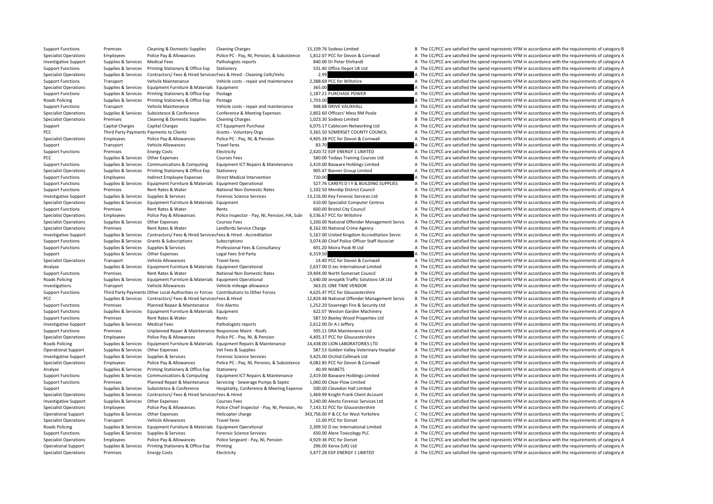| support runctions            | rienises                                 | Clearing & Doniestic Supplies                                                        | Clearing Charges                                                      | LJ.IUJ.70 JUUEXU LIIIIILEU                    | Desired CC/PCC are satisfied the spend represents virin accordance with the requirements or category b |
|------------------------------|------------------------------------------|--------------------------------------------------------------------------------------|-----------------------------------------------------------------------|-----------------------------------------------|--------------------------------------------------------------------------------------------------------|
| <b>Specialist Operations</b> | Employees                                | Police Pay & Allowances                                                              | Police PC - Pay, NI, Pension, & Subsistence                           | 1,812.07 PCC for Devon & Cornwall             | A The CC/PCC are satisfied the spend represents VFM in accordance with the requirements of category A  |
| <b>Investigative Support</b> | Supplies & Services                      | <b>Medical Fees</b>                                                                  | Pathologists reports                                                  | 840.00 Dr Peter Ehrhardt                      | A The CC/PCC are satisfied the spend represents VFM in accordance with the requirements of category A  |
| <b>Support Functions</b>     | Supplies & Services                      | Printing Stationery & Office Exp                                                     | Stationery                                                            | 531.40 Office Depot UK Ltd                    | A The CC/PCC are satisfied the spend represents VFM in accordance with the requirements of category A  |
| <b>Specialist Operations</b> | Supplies & Services                      |                                                                                      | Contractors/ Fees & Hired Services Fees & Hired - Cleaning Cells/Vehs | 2.99                                          | A The CC/PCC are satisfied the spend represents VFM in accordance with the requirements of category A  |
| <b>Support Functions</b>     | Transport                                | Vehicle Maintenance                                                                  | Vehicle costs - repair and maintenance                                | 2,388.69 PCC for Wiltshire                    | A The CC/PCC are satisfied the spend represents VFM in accordance with the requirements of category A  |
| <b>Specialist Operations</b> | Supplies & Services                      | Equipment Furniture & Materials Equipment                                            |                                                                       | 365.00                                        | A The CC/PCC are satisfied the spend represents VFM in accordance with the requirements of category A  |
|                              |                                          |                                                                                      |                                                                       |                                               |                                                                                                        |
| <b>Support Functions</b>     | Supplies & Services                      | Printing Stationery & Office Exp                                                     | Postage                                                               | 1,187.21 PURCHASE POWER                       | A The CC/PCC are satisfied the spend represents VFM in accordance with the requirements of category A  |
| <b>Roads Policing</b>        | Supplies & Services                      | Printing Stationery & Office Exp                                                     | Postage                                                               | 1,703.00                                      | A The CC/PCC are satisfied the spend represents VFM in accordance with the requirements of category A  |
| <b>Support Functions</b>     | Transport                                | Vehicle Maintenance                                                                  | Vehicle costs - repair and maintenance                                | 948.68 DRIVE VAUXHALL                         | A The CC/PCC are satisfied the spend represents VFM in accordance with the requirements of category A  |
| <b>Specialist Operations</b> | Supplies & Services                      | Subsistence & Conference                                                             | Conference & Meeting Expenses                                         | 2,802.60 Officers' Mess RM Poole              | A The CC/PCC are satisfied the spend represents VFM in accordance with the requirements of category A  |
| <b>Specialist Operations</b> | Premises                                 | Cleaning & Domestic Supplies                                                         | <b>Cleaning Charges</b>                                               | 1,023.30 Sodexo Limited                       | B The CC/PCC are satisfied the spend represents VFM in accordance with the requirements of category B  |
| Support                      | <b>Capital Charges</b>                   | <b>Capital Charges</b>                                                               | <b>ICT Equipment Purchase</b>                                         | 6,075.17 Cablecom Networking Ltd              | A The CC/PCC are satisfied the spend represents VFM in accordance with the requirements of category A  |
| PCC                          | Third Party Payments Payments to Clients |                                                                                      | Grants - Voluntary Orgs                                               | 3,365.50 SOMERSET COUNTY COUNCIL              | A The CC/PCC are satisfied the spend represents VFM in accordance with the requirements of category A  |
| <b>Specialist Operations</b> | Employees                                | Police Pay & Allowances                                                              | Police PC - Pay, NI, & Pension                                        | 4,405.38 PCC for Devon & Cornwall             | A The CC/PCC are satisfied the spend represents VFM in accordance with the requirements of category A  |
| Support                      | Transport                                | <b>Vehicle Allowances</b>                                                            | Travel fares                                                          | 83.70                                         | A The CC/PCC are satisfied the spend represents VFM in accordance with the requirements of category A  |
| <b>Support Functions</b>     | Premises                                 | <b>Energy Costs</b>                                                                  | Electricity                                                           | 2,420.72 EDF ENERGY 1 LIMITED                 | A The CC/PCC are satisfied the spend represents VFM in accordance with the requirements of category A  |
| PCC                          | Supplies & Services                      | Other Expenses                                                                       | <b>Courses Fees</b>                                                   | 580.00 Todays Training Courses Ltd            | A The CC/PCC are satisfied the spend represents VFM in accordance with the requirements of category A  |
| <b>Support Functions</b>     | Supplies & Services                      | Communications & Computing                                                           | Equipment ICT Repairs & Maintenance                                   | 2,419.00 Basware Holdings Limited             | A The CC/PCC are satisfied the spend represents VFM in accordance with the requirements of category A  |
|                              |                                          |                                                                                      |                                                                       |                                               |                                                                                                        |
| <b>Specialist Operations</b> | Supplies & Services                      | Printing Stationery & Office Exp                                                     | Stationery                                                            | 905.47 Banner Group Limited                   | A The CC/PCC are satisfied the spend represents VFM in accordance with the requirements of category A  |
| <b>Support Functions</b>     | Employees                                | <b>Indirect Employee Expenses</b>                                                    | Direct Medical Intervention                                           | 720.00                                        | A The CC/PCC are satisfied the spend represents VFM in accordance with the requirements of category A  |
| <b>Support Functions</b>     | Supplies & Services                      | Equipment Furniture & Materials Equipment Operational                                |                                                                       | 527.76 CAREYS D I Y & BUILDING SUPPLIES       | A The CC/PCC are satisfied the spend represents VFM in accordance with the requirements of category A  |
| <b>Support Functions</b>     | Premises                                 | Rent Rates & Water                                                                   | National Non Domestic Rates                                           | 1,102.50 Mendip District Council              | A The CC/PCC are satisfied the spend represents VFM in accordance with the requirements of category A  |
| <b>Investigative Support</b> | Supplies & Services                      | Supplies & Services                                                                  | <b>Forensic Science Services</b>                                      | 13,216.00 Key Forensic Services Ltd           | B The CC/PCC are satisfied the spend represents VFM in accordance with the requirements of category B  |
| <b>Specialist Operations</b> | Supplies & Services                      | Equipment Furniture & Materials Equipment                                            |                                                                       | 610.00 Specialist Computer Centres            | A The CC/PCC are satisfied the spend represents VFM in accordance with the requirements of category A  |
| <b>Support Functions</b>     | Premises                                 | Rent Rates & Water                                                                   | Rents                                                                 | 600.00 Bristol City Council                   | A The CC/PCC are satisfied the spend represents VFM in accordance with the requirements of category A  |
| <b>Specialist Operations</b> | Employees                                | Police Pay & Allowances                                                              | Police Inspector - Pay, NI, Pension, HA, Subs                         | 6,536.67 PCC for Wiltshire                    | A The CC/PCC are satisfied the spend represents VFM in accordance with the requirements of category A  |
| <b>Specialist Operations</b> | Supplies & Services                      | Other Expenses                                                                       | <b>Courses Fees</b>                                                   | 1,200.00 National Offender Management Servic  | A The CC/PCC are satisfied the spend represents VFM in accordance with the requirements of category A  |
| <b>Specialist Operations</b> | Premises                                 | Rent Rates & Water                                                                   | Landlords Service Charge                                              | 8,162.00 National Crime Agency                | A The CC/PCC are satisfied the spend represents VFM in accordance with the requirements of category A  |
| <b>Investigative Support</b> | Supplies & Services                      | Contractors/ Fees & Hired Services Fees & Hired - Accreditation                      |                                                                       | 5,167.00 United Kingdom Accreditation Servic  | A The CC/PCC are satisfied the spend represents VFM in accordance with the requirements of category A  |
| <b>Support Functions</b>     | Supplies & Services                      | Grants & Subscriptions                                                               | Subscriptions                                                         | 3,074.00 Chief Police Officer Staff Associat  | A The CC/PCC are satisfied the spend represents VFM in accordance with the requirements of category A  |
|                              |                                          |                                                                                      |                                                                       |                                               |                                                                                                        |
| <b>Support Functions</b>     | Supplies & Services                      | Supplies & Services                                                                  | Professional Fees & Consultancy                                       | 691.20 Moira Pook RI Ltd                      | A The CC/PCC are satisfied the spend represents VFM in accordance with the requirements of category A  |
| Support                      | Supplies & Services                      | Other Expenses                                                                       | Legal Fees 3rd Party                                                  | 6,319.50                                      | A The CC/PCC are satisfied the spend represents VFM in accordance with the requirements of category A  |
| <b>Specialist Operations</b> | Transport                                | Vehicle Allowances                                                                   | Travel fares                                                          | 14.40 PCC for Devon & Cornwall                | A The CC/PCC are satisfied the spend represents VFM in accordance with the requirements of category A  |
| Analyse                      | Supplies & Services                      | Equipment Furniture & Materials Equipment Operational                                |                                                                       | 2,637.00 D.tec International Limited          | A The CC/PCC are satisfied the spend represents VFM in accordance with the requirements of category A  |
| <b>Support Functions</b>     | Premises                                 | Rent Rates & Water                                                                   | National Non Domestic Rates                                           | 19,404.00 North Somerset Council              | B The CC/PCC are satisfied the spend represents VFM in accordance with the requirements of category B  |
| <b>Roads Policing</b>        | Supplies & Services                      | Equipment Furniture & Materials Equipment Operational                                |                                                                       | 1,640.00 Jenoptik Traffic Solutions UK Ltd    | A The CC/PCC are satisfied the spend represents VFM in accordance with the requirements of category A  |
| Investigations               | Transport                                | Vehicle Allowances                                                                   | Vehicle mileage allowance                                             | 363.01 ONE TIME VENDOR                        | A The CC/PCC are satisfied the spend represents VFM in accordance with the requirements of category A  |
| <b>Support Functions</b>     |                                          | Third Party Payments Other Local Authorities or Forces Contributions to Other Forces |                                                                       | 4,625.47 PCC for Gloucestershire              | A The CC/PCC are satisfied the spend represents VFM in accordance with the requirements of category A  |
| PCC                          | Supplies & Services                      | Contractors/ Fees & Hired Services Fees & Hired                                      |                                                                       | 12,824.48 National Offender Management Servic | B The CC/PCC are satisfied the spend represents VFM in accordance with the requirements of category B  |
| <b>Support Functions</b>     | Premises                                 | Planned Repair & Maintenance                                                         | Fire Alarms                                                           | 1,252.20 Sovereign Fire & Security Ltd        | A The CC/PCC are satisfied the spend represents VFM in accordance with the requirements of category A  |
| <b>Support Functions</b>     | Supplies & Services                      | Equipment Furniture & Materials Equipment                                            |                                                                       | 622.07 Weston Garden Machinery                | A The CC/PCC are satisfied the spend represents VFM in accordance with the requirements of category A  |
| <b>Support Functions</b>     | Premises                                 | Rent Rates & Water                                                                   | Rents                                                                 | 587.50 Beeley Wood Properties Ltd             | A The CC/PCC are satisfied the spend represents VFM in accordance with the requirements of category A  |
|                              |                                          |                                                                                      |                                                                       |                                               |                                                                                                        |
| <b>Investigative Support</b> | Supplies & Services                      | <b>Medical Fees</b>                                                                  | Pathologists reports                                                  | 2,612.00 Dr A J Jeffery                       | A The CC/PCC are satisfied the spend represents VFM in accordance with the requirements of category A  |
| <b>Support Functions</b>     | Premises                                 | Unplanned Repair & Maintenance Responsive Maint - Roofs                              |                                                                       | 595.11 DRA Maintenance Ltd                    | A The CC/PCC are satisfied the spend represents VFM in accordance with the requirements of category A  |
| <b>Specialist Operations</b> | Employees                                | Police Pay & Allowances                                                              | Police PC - Pay, NI, & Pension                                        | 4,405.37 PCC for Gloucestershire              | C The CC/PCC are satisfied the spend represents VFM in accordance with the requirements of category C  |
| <b>Roads Policing</b>        | Supplies & Services                      |                                                                                      | Equipment Furniture & Materials Equipment Repairs & Maintenance       | 14,438.00 LION LABORATORIES LTD               | B The CC/PCC are satisfied the spend represents VFM in accordance with the requirements of category B  |
| <b>Operational Support</b>   | Supplies & Services                      | Other Expenses                                                                       | Vet Fees & Supplies                                                   | 587.53 Golden Valley Veterinary Hospital      | A The CC/PCC are satisfied the spend represents VFM in accordance with the requirements of category A  |
| <b>Investigative Support</b> |                                          |                                                                                      | <b>Forensic Science Services</b>                                      |                                               | A The CC/PCC are satisfied the spend represents VFM in accordance with the requirements of category A  |
|                              | Supplies & Services                      | Supplies & Services                                                                  |                                                                       | 3,425.00 Orchid Cellmark Ltd                  |                                                                                                        |
| <b>Specialist Operations</b> | Employees                                | Police Pay & Allowances                                                              | Police PC - Pay, NI, Pension, & Subsistence                           | 4,082.85 PCC for Devon & Cornwall             | A The CC/PCC are satisfied the spend represents VFM in accordance with the requirements of category A  |
| Analyse                      | Supplies & Services                      | Printing Stationery & Office Exp                                                     | Stationery                                                            | 40.99 NISBETS                                 | A The CC/PCC are satisfied the spend represents VFM in accordance with the requirements of category A  |
|                              |                                          |                                                                                      |                                                                       |                                               |                                                                                                        |
| <b>Support Functions</b>     | Supplies & Services                      | Communications & Computing                                                           | Equipment ICT Repairs & Maintenance                                   | 2,419.00 Basware Holdings Limited             | A The CC/PCC are satisfied the spend represents VFM in accordance with the requirements of category A  |
| <b>Support Functions</b>     | Premises                                 | Planned Repair & Maintenance                                                         | Servicing - Sewerage Pumps & Septic                                   | 1,060.00 Clear-Flow Limited                   | A The CC/PCC are satisfied the spend represents VFM in accordance with the requirements of category A  |
| Support                      | Supplies & Services                      | Subsistence & Conference                                                             | Hospitality, Conference & Meeting Expense                             | 500.00 Clevedon Hall Limited                  | A The CC/PCC are satisfied the spend represents VFM in accordance with the requirements of category A  |
| <b>Specialist Operations</b> | Supplies & Services                      | Contractors/ Fees & Hired Services Fees & Hired                                      |                                                                       | 1,469.99 Knight Frank Client Account          | A The CC/PCC are satisfied the spend represents VFM in accordance with the requirements of category A  |
| <b>Investigative Support</b> | Supplies & Services                      | Other Expenses                                                                       | <b>Courses Fees</b>                                                   | 3,240.00 Alecto Forensic Services Ltd         | A The CC/PCC are satisfied the spend represents VFM in accordance with the requirements of category A  |
| <b>Specialist Operations</b> | Employees                                | Police Pay & Allowances                                                              | Police Chief Inspector - Pay, NI, Pension, Ho                         | 7.143.32 PCC for Gloucestershire              | C The CC/PCC are satisfied the spend represents VFM in accordance with the requirements of category C  |
| <b>Operational Support</b>   | Supplies & Services                      | Other Expenses                                                                       | Helicopter charge                                                     | 343,756.00 P & CC for West Yorkshire          | C The CC/PCC are satisfied the spend represents VFM in accordance with the requirements of category C  |
| <b>Specialist Operations</b> | Transport                                | <b>Vehicle Allowances</b>                                                            | <b>Travel fares</b>                                                   | 15.00 PCC for Dorset                          | A The CC/PCC are satisfied the spend represents VFM in accordance with the requirements of category A  |
| <b>Roads Policing</b>        | Supplies & Services                      | Equipment Furniture & Materials Equipment Operational                                |                                                                       | 2,309.50 D.tec International Limited          | A The CC/PCC are satisfied the spend represents VFM in accordance with the requirements of category A  |
| <b>Support Functions</b>     | Supplies & Services                      | Supplies & Services                                                                  | <b>Forensic Science Services</b>                                      | 650.00 Alere Toxicology PLC                   | A The CC/PCC are satisfied the spend represents VFM in accordance with the requirements of category A  |
| <b>Specialist Operations</b> | Employees                                | Police Pay & Allowances                                                              | Police Sergeant - Pay, NI, Pension                                    | 4,929.36 PCC for Dorset                       | A The CC/PCC are satisfied the spend represents VFM in accordance with the requirements of category A  |
| Operational Support          | Supplies & Services                      | Printing Stationery & Office Exp                                                     | Printing                                                              | 296.00 Xerox (UK) Ltd                         | A The CC/PCC are satisfied the spend represents VFM in accordance with the requirements of category A  |
| <b>Specialist Operations</b> | Premises                                 | <b>Energy Costs</b>                                                                  | Electricity                                                           | 3,477.28 EDF ENERGY 1 LIMITED                 | A The CC/PCC are satisfied the spend represents VFM in accordance with the requirements of category A  |

|          | 1,812.07 PCC for Devon & Cornwall                                     | Α      | T      |
|----------|-----------------------------------------------------------------------|--------|--------|
|          | 840.00 Dr Peter Ehrhardt                                              | Α      | T      |
|          | 531.40 Office Depot UK Ltd                                            | A      | T      |
| 2.99     |                                                                       | А      | T      |
|          | 2,388.69 PCC for Wiltshire                                            | A      | T      |
| 365.00   |                                                                       | А      | Ţ      |
|          | 1,187.21 PURCHASE POWER                                               | А      | T      |
| 1,703.00 |                                                                       | A      | T      |
|          | 948.68 DRIVE VAUXHALL                                                 | А      | Ţ      |
|          | 2,802.60 Officers' Mess RM Poole                                      | А      | T      |
|          | 1,023.30 Sodexo Limited                                               | B      | T      |
|          | 6,075.17 Cablecom Networking Ltd                                      | A<br>Α | T      |
|          | 3,365.50 SOMERSET COUNTY COUNCIL<br>4,405.38 PCC for Devon & Cornwall | Α      | T<br>T |
| 83.70    |                                                                       | A      | T      |
|          | 2,420.72 EDF ENERGY 1 LIMITED                                         | Α      | Ţ      |
|          | 580.00 Todays Training Courses Ltd                                    | A      | T      |
|          | 2,419.00 Basware Holdings Limited                                     | А      | T      |
|          | 905.47 Banner Group Limited                                           | Α      | T      |
| 720.00   |                                                                       | A      | T      |
|          | 527.76 CAREYS D I Y & BUILDING SUPPLIES                               | Α      | T      |
|          | 1,102.50 Mendip District Council                                      | А      | Ţ      |
|          | 3,216.00 Key Forensic Services Ltd                                    | B      | T      |
|          | 610.00 Specialist Computer Centres                                    | Α      | T      |
|          | 600.00 Bristol City Council                                           | А      | T      |
|          | 6,536.67 PCC for Wiltshire                                            | А      | T      |
|          | 1,200.00 National Offender Management Servic                          | A      | T      |
|          | 8,162.00 National Crime Agency                                        | A      | T      |
|          | 5,167.00 United Kingdom Accreditation Servic                          | Α      | T      |
|          | 3,074.00 Chief Police Officer Staff Associat                          | Α      | T      |
|          | 691.20 Moira Pook RI Ltd                                              | A      | T      |
|          |                                                                       |        |        |
| 6,319.50 |                                                                       | A      | Ţ      |
|          | 14.40 PCC for Devon & Cornwall                                        | A      | T      |
|          | 2,637.00 D.tec International Limited                                  | A      | T      |
|          | 9,404.00 North Somerset Council                                       | B      | T      |
|          | 1,640.00 Jenoptik Traffic Solutions UK Ltd                            | Α      | T      |
|          | 363.01 ONE TIME VENDOR                                                | A      | T      |
|          | 4,625.47 PCC for Gloucestershire                                      | А      | T      |
|          | 2,824.48 National Offender Management Servic                          | B      | T      |
|          | 1,252.20 Sovereign Fire & Security Ltd                                | А      | Ţ      |
|          | 622.07 Weston Garden Machinery                                        | A      | T      |
|          | 587.50 Beeley Wood Properties Ltd                                     | Α      | T      |
|          | 2,612.00 Dr A J Jeffery                                               | А      | Ţ      |
|          | 595.11 DRA Maintenance Ltd                                            | Α      | T      |
|          | 4,405.37 PCC for Gloucestershire                                      | C      | T      |
|          | 4,438.00 LION LABORATORIES LTD                                        | B      | Ţ      |
|          | 587.53 Golden Valley Veterinary Hospital                              | А      | Ţ      |
|          | 3,425.00 Orchid Cellmark Ltd                                          | A      | T      |
|          | 4,082.85 PCC for Devon & Cornwall                                     | Α      | T      |
|          | 40.99 NISBETS                                                         | Α      | T      |
|          | 2,419.00 Basware Holdings Limited                                     | Α      | T      |
|          | 1,060.00 Clear-Flow Limited                                           | Α<br>A | T<br>T |
|          | 500.00 Clevedon Hall Limited<br>1,469.99 Knight Frank Client Account  | A      | T      |
|          | 3,240.00 Alecto Forensic Services Ltd                                 | A      | T      |
|          | 7,143.32 PCC for Gloucestershire                                      | C      | T      |
|          | 13,756.00 P & CC for West Yorkshire                                   | C      | T      |
|          | 15.00 PCC for Dorset                                                  | Α      | T      |
|          | 2,309.50 D.tec International Limited                                  | А      | T      |
|          | 650.00 Alere Toxicology PLC                                           | А      | T      |
|          | 4,929.36 PCC for Dorset                                               | A      | T      |
|          | 296.00 Xerox (UK) Ltd                                                 | A      | T      |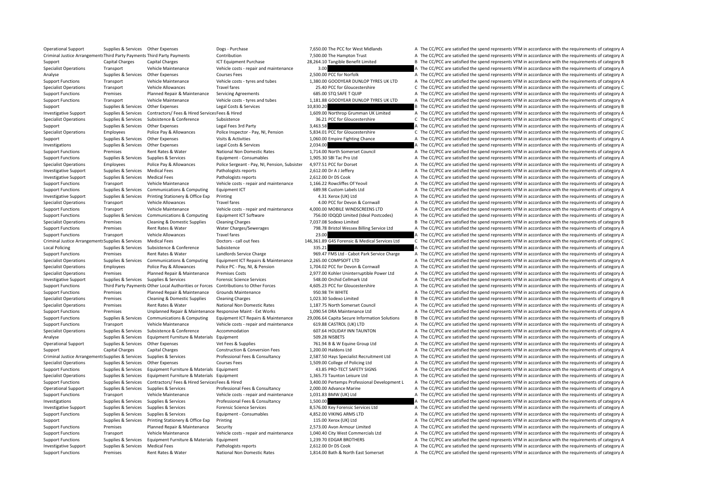Operational Support Supplies & Services Other Expenses Dogs - Purchase Dogs Purchase 7,650.00 The PCC for West Midlands A The CC/PCC are satisfied the spend represents VFM in accordance with the requirements of category A Criminal Justice Arrangements Third Party Payments Third Party Payments Contribution Contribution Contribution 7,500.00 The Hampton Trust A The CC/PCC are satisfied the spend represents VFM in accordance with the requireme Support Capital Charges Capital Charges ICT Equipment Purchase 28,264.10 Tangible Benefit Limited B The CC/PCC are satisfied the spend represents VFM in accordance with the requirements of category B Specialist Operations Transport Vehicle Maintenance Vehicle costs - repair and maintenance 3.00 A The CC/PCC are satisfied the spend represents VFM in accordance with the requirements of category A Analyse Supplies & Services Other Expenses Courses Fees 2,500,00 PCC for Norfolk A The CC/PCC are satisfied the spend represents VFM in accordance with the requirements of category A Support Functions Transport Vehicle Maintenance Vehicle costs - tyres and tubes 1.380.00 GOODYEAR DUNLOP TYRES UK LTD A The CC/PCC are satisfied the spend represents VFM in accordance with the requirements of category A Specialist Operations Transport Vehicle Allowances Travel fares 25.40 PC for Gloucestershire C The CC/PCC are satisfied the spend represents VFM in accordance with the requirements of category C Support Functions Premises Planned Repair & Maintenance Servicing Agreements 685.00 STQ SAFE T QUIP A The CC/PCC are satisfied the spend represents VFM in accordance with the requirements of category A Support Functions Transport Vehicle Maintenance Vehicle costs - tyres and tubes 1,181.88 GOODYEAR DUNLOP TYRES UK LTD A The CC/PCC are satisfied the spend represents VFM in accordance with the requirements of category A Support Supplies & Services Other Expenses Legal Costs & Services 10,830.20 B The CC/PCC are satisfied the spend represents VFM in accordance with the requirements of category B Investigative Support Supportes Supporters & Services Contractors/ Fees & Hired Services Fees & Hired Services Fees & Hired 1.609.00 Northrop Grumman UK Limited A The CC/PCC are satisfied the spend represents VFM in accord Specialist Operations Supplies & Services Subsistence Subsistence Subsistence Subsistence Subsistence Subsistence Subsistence Subsistence Subsistence 36.21 PCC for Gloucestershire C The CC/PCC are satisfied the spend repre Support Supplies & Services Other Expenses Legal Fees 3rd Party 3,463.58 A The CC/PCC are satisfied the spend represents VFM in accordance with the requirements of category A Specialist Operations Employees Police Pay & Allowances Police Inspector - Pay, NI, Pension 5,834.01 PCC for Gloucestershire C The CC/PCC are satisfied the spend represents VFM in accordance with the requirements of catego Support Supplies & Services Other Expenses Visits & Activities Visits Activities 1,060.00 Empire Fighting Chance A The CC/PCC are satisfied the spend represents VFM in accordance with the requirements of category A Investigations Supplies & Services Other Expenses Legal Costs & Services 2,034.00 A The CC/PCC are satisfied the spend represents VFM in accordance with the requirements of category A Support Functions Premises Rent Rates & Water National Non Domestic Rates 1,714.00 North Somerset Council A The CC/PCC are satisfied the spend represents VFM in accordance with the requirements of category A Support Functions Supplies & Services Supplies & Services Equipment - Consumables 1,905.30 SBI Tac Pro Ltd A The CC/PCC are satisfied the spend represents VFM in accordance with the requirements of category A Specialist Operations Employees Police Pay & Allowances Police Sergeant - Pay, NI, Pension, Subsister 4,977.51 PCC for Dorset A The CC/PCC are satisfied the spend represents VFM in accordance with the requirements of categ Investigative Support Supplies & Services Medical Fees Pathologists reports 2,612.00 Dr A J Jeffery A The CC/PCC are satisfied the spend represents VFM in accordance with the requirements of category A Investigative Support Supplies & Services Medical Fees Pathologists reports 2.612.00 Dr DS Cook A The CC/PCC are satisfied the spend represents VFM in accordance with the requirements of category A Support Functions Transport Vehicle Maintenance Vehicle costs - repair and maintenance 1.166.22 Rowcliffes Of Yeovil A The CC/PCC are satisfied the spend represents VFM in accordance with the requirements of category A Support Functions Supplies & Services Communications & Computing Equipment ICT 689.98 Custom Labels Ltd A The CC/PCC are satisfied the spend represents VFM in accordance with the requirements of category A Investigative Support Supplies & Services Printing Stationery & Office Exp Printing 4.31 Xerox (UK) Ltd A The CC/PCC are satisfied the spend represents VFM in accordance with the requirements of category A Specialist Operations Transport Vehicle Allowances Travel fares Travel fares 4.00 PCC for Devon & Cornwall A The CC/PCC are satisfied the spend represents VFM in accordance with the requirements of category A Support Functions Transport Vehicle Maintenance Vehicle costs - repair and maintenance 4,000.00 MOBILE WINDSCREENS LTD A The CC/PCC are satisfied the spend represents VFM in accordance with the requirements of category A Support Functions Supplies & Services Communications & Computing Foujoment ICT Software 756.00 IDOOD Limited (Ideal Postcodes) A The CC/PCC are satisfied the spend represents VFM in accordance with the requirements of cate Specialist Operations Premises Cleaning & Domestic Supplies Cleaning Charges 7,037.08 Sodexo Limited B The CC/PCC are satisfied the spend represents VFM in accordance with the requirements of category B Support Functions Premises Rent Rates & Water Water Water Charges/Sewerages 798.78 Bristol Wessex Billing Service Ltd A The CC/PCC are satisfied the spend represents VFM in accordance with the requirements of category A Support Functions Transport Vehicle Allowances Travel fares 23.00 23.00 A The CC/PCC are satisfied the spend represents VFM in accordance with the requirements of category A Criminal Justice Arrangement: Supplies & Services Medical Fees Doctors - call out fees 2007 Doctors - call out fees 2007 Doctors - call out fees 2007 2016 2017 2017 2018 2017 2018 2017 2018 2017 2018 2017 2018 2017 2017 20 Local Policing Supplies & Services Subsistence Subsistence Subsistence Subsistence Subsistence Subsistence Subsistence 335.21 A The CC/PCC are satisfied the spend represents VFM in accordance with the requirements of categ Support Functions Premises Rent Rates & Water Landlords Service Charge 969.47 FMS Ltd - Cabot Park Service Charge A The CC/PCC are satisfied the spend represents VFM in accordance with the requirements of category A Specialist Operations Supplies & Services Communications & Computing Equipment ICT Repairs & Maintenance 2,265.00 COMPSOFT LTD A The CC/PCC are satisfied the spend represents VFM in accordance with the requirements of cate Specialist Operations Employees Police Pay & Allowances Police PC - Pay, NI, & Pension 1,704.02 PCC for Devon & Cornwall A The CC/PCC are satisfied the spend represents VFM in accordance with the requirements of category A Specialist Operations Premises Planned Repair & Maintenance Premises Costs 2,977.00 Kohler Uninterruptible Power Ltd A The CC/PCC are satisfied the spend represents VFM in accordance with the requirements of category A Investigative Support Supplies & Services Supplies & Services Forensic Science Services Forensic Science Services 548.00 Orchid Cellmark Ltd A The CC/PCC are satisfied the spend represents VFM in accordance with the requir Support Functions Third Party Payments Other Local Authorities or Forces Contributions to Other Forces at 4.605.23 PCC for Gloucestershire A The CC/PCC are satisfied the spend represents VFM in accordance with the requirem Support Functions Premises Planned Repair & Maintenance Grounds Maintenance 950.98 TH WHITE A The CC/PCC are satisfied the spend represents VFM in accordance with the requirements of category A Specialist Operations Premises Cleaning & Domestic Supplies Cleaning Charges 1,023.30 Sodexo Limited B The CC/PCC are satisfied the spend represents VFM in accordance with the requirements of category B Specialist Operations Premises Rent Rates & Water National Non Domestic Rates 1,187.75 North Somerset Council A The CC/PCC are satisfied the spend represents VFM in accordance with the requirements of category A Support Functions Premises Unplanned Repair & Maintenance Responsive Maint - Ext Works 1,090.54 DRA Maintenance Ltd A The CC/PCC are satisfied the spend represents VFM in accordance with the requirements of category A Supplies & Services Communications & Computing Equipment ICT Repairs & Maintenance 29.006.64 Capita Secure Information Solutions B The CC/PCC are satisfied the spend represents VFM in accordance with the requirements of ca Support Functions Transport Vehicle Maintenance Vehicle costs - repair and maintenance 619.88 CASTROL (UK) LTD A The CC/PCC are satisfied the spend represents VFM in accordance with the requirements of category A Specialist Operations Supplies & Services Subsistence & Conference Accommodation A CONTON 607.64 HOLIDAY INN TAUNTON A The CC/PCC are satisfied the spend represents VFM in accordance with the requirements of category A Analyse Supplies & Services Equipment Furniture & Materials Equipment Supplies Materials Equipment Supplies Materials Equipment Supplies A The CC/PCC are satisfied the spend represents VFM in accordance with the requiremen Operational Support Supplies & Services Other Expenses Vet Fees & Supplies Vet Fees & Supplies 761.94 B & W Equine Group Ltd A The CC/PCC are satisfied the spend represents VFM in accordance with the requirements of catego Support Capital Charges Capital Charges Construction & Conversion Fees 1.200.00 Haldons Ltd A The CC/PCC are satisfied the spend represents VFM in accordance with the requirements of category A Criminal Justice Arrangements Supplies & Services Supplies & Services Professional Fees & Consultancy 2,587.50 Hays Specialist Recruitment Ltd A The CC/PCC are satisfied the spend represents VFM in accordance with the requ Specialist Operations Supplies & Services Other Expenses Courses Fees 1,509.00 College of Policing Ltd A The CC/PCC are satisfied the spend represents VFM in accordance with the requirements of category A Support Functions Supplies & Services Equipment Furniture & Materials Equipment 43.85 PRO‐TECT SAFETY SIGNS A The CC/PCC are satisfied the spend represents VFM in accordance with the requirements of category A Specialist Operations Supplies & Services Equipment Furniture & Materials Equipment 1,365.73 Taunton Leisure Ltd A The CC/PCC are satisfied the spend represents VFM in accordance with the requirements of category A Support Functions Supplies & Services Contractors/ Fees & Hired Services Fees & Hired Services Fees & Hired Services Pest & Hired 3,400.00 Pertemps Professional Development L A The CC/PCC are satisfied the spend represents Operational Support Supplies & Services Supplies & Services Professional Fees & Consultancy 2,000.00 Advance Marine A The CC/PCC are satisfied the spend represents VFM in accordance with the requirements of category A Support Functions Transport Vehicle Maintenance Vehicle costs - repair and maintenance 1.031.83 BMW (UK) Ltd A The CC/PCC are satisfied the spend represents VFM in accordance with the requirements of category A Investigations Supplies & Services Supplies & Services Professional Fees & Consultancy 1,500.00 A The CC/PCC are satisfied the spend represents VFM in accordance with the requirements of category A Investigative Support Supplies & Services Supplies & Services Forensic Science Services 8,576.00 Key Forensic Services Ltd A The CC/PCC are satisfied the spend represents VFM in accordance with the requirements of category Support Functions Supplies & Services Supplies & Services Equipment - Consumables 4,852.00 VIKING ARMS LTD A The CC/PCC are satisfied the spend represents VFM in accordance with the requirements of category A Supplies & Services Printing Stationery & Office Exp Printing 115.00 Xerox (UK) Ltd A The CC/PCC are satisfied the spend represents VFM in accordance with the requirements of category A Support Functions Premises Planned Repair & Maintenance Security 2,573.00 Avon Armour Limited A The CC/PCC are satisfied the spend represents VFM in accordance with the requirements of category A Support Functions Transport Vehicle Maintenance Vehicle costs - repair and maintenance 1,040.40 City West Commercials Ltd A The CC/PCC are satisfied the spend represents VFM in accordance with the requirements of category Support Functions Supplies & Services Equipment Furniture & Materials Equipment 1,239.70 EDGAR BROTHERS A The CC/PCC are satisfied the spend represents VFM in accordance with the requirements of category A Investigative Support Supplies & Services Medical Fees Pathologists reports 2,612.00 Dr DS Cook A The CC/PCC are satisfied the spend represents VFM in accordance with the requirements of category A Support Functions Premises Rent Rates & Water National Non Domestic Rates 1.814.00 Bath & North East Somerset A The CC/PCC are satisfied the spend represents VFM in accordance with the requirements of category A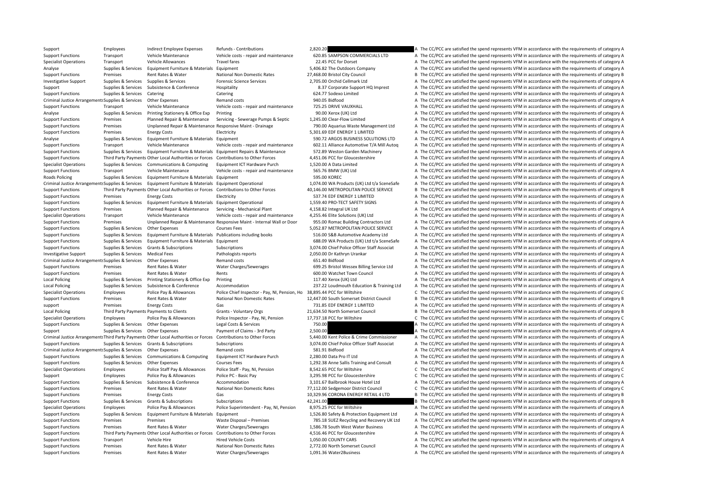Support Functions Transport Vehicle Maintenance Vehicle costs - repair and maintenance 620.85 SAMPSON COMMERCIALS LTD A The CC/PCC are satisfied the spend represents VFM in accordance with the requirements of category A Specialist Operations Transport Vehicle Allowances Travel fares 22.45 PCC for Dorset A The CC/PCC are satisfied the spend represents VFM in accordance with the requirements of category A Analyse Supplies & Services Equipment Furniture & Materials Equipment Supplies and the Service of category A The CC/PCC are satisfied the spend represents VFM in accordance with the requirements of category A Support Functions Premises Rent Rates & Water National Non Domestic Rates 27,468.00 Bristol City Council B The CC/PCC are satisfied the spend represents VFM in accordance with the requirements of category B Investigative Supplies & Services Supplies & Services Supplies & Services Forensic Science Services 2,705.00 Orchid Cellmark Ltd A The CC/PCC are satisfied the spend represents VFM in accordance with the requirements of ca Support Support Subsistence Subsistence Support Hospitality 8.37 Corporate Support HQ Imprest A The CC/PCC are satisfied the spend represents VFM in accordance with the requirements of category A Support Functions Supplies & Services Catering Catering Catering Catering Catering Catering Catering Catering Catering Catering 624.77 Sodexo Limited A The CC/PCC are satisfied the spend represents VFM in accordance with t Criminal Justice Arrangements Supplies & Services Other Expenses Remand costs Remand costs 940.05 Bidfood A The CC/PCC are satisfied the spend represents VFM in accordance with the requirements of category A Support Functions Transport Vehicle Maintenance Vehicle costs - repair and maintenance 725.25 DRIVE VAUXHALL A The CC/PCC are satisfied the spend represents VFM in accordance with the requirements of category A Analyse Supplies Services Printing Stationery & Office Exp Printing experimes a The CORC are satisfied the spend represents VFM in accordance with the requirements of category A Support Functions Premises Planned Repair & Maintenance Servicing - Sewerage Pumps & Septic 1,245.00 Clear‐Flow Limited A The CC/PCC are satisfied the spend represents VFM in accordance with the requirements of category A Support Functions Premises Unplanned Repair & Maintenance Responsive Maint - Drainage 790.00 Aquarius Waste Management Ltd A The CC/PCC are satisfied the spend represents VFM in accordance with the requirements of category Support Functions Premises Energy Costs Electricity Electricity 5,301.69 EDF ENERGY 1 LIMITED A The CC/PCC are satisfied the spend represents VFM in accordance with the requirements of category A Supplies Services Equipment Furniture & Materials Equipment 590.72 ARGOS BUSINESS SOLUTIONS LTD A The CC/PCC are satisfied the spend represents VFM in accordance with the requirements of category A Support Functions Transport Vehicle Maintenance Vehicle costs - repair and maintenance 602.11 Alliance Automotive T/A Mill Auton A The CC/PCC are satisfied the spend represents VEM in accordance with the requirements of ca Support Functions Supplies & Services Equipment Furniture & Materials Equipment Repairs & Maintenance 572.89 Weston Garden Machinery A The CC/PCC are satisfied the spend represents VFM in accordance with the requirements o Support Functions Third Party Payments Other Local Authorities or Forces Contributions to Other Forces 4.451.06 PCC for Gloucestershire A The CC/PCC are satisfied the spend represents VFM in accordance with the requirement Specialist Operations Supplies & Services Communications & Computing Equipment ICT Hardware Purch 1,520.00 A Data Limited A The CC/PCC are satisfied the spend represents VFM in accordance with the requirements of category Support Functions Transport Vehicle Maintenance Vehicle costs - repair and maintenance 565.76 BMW (UK) Ltd A The CC/PCC are satisfied the spend represents VFM in accordance with the requirements of category A Roads Policing Supplies & Services Equipment Furniture & Materials Equipment Supplies and the Service of category A The CC/PCC are satisfied the spend represents VFM in accordance with the requirements of category A Criminal Justice Arrangements Supplies & Services Equipment Furniture & Materials Equipment Operational 1.074.00 WA Products (UK) Ltd t/a SceneSafe A The CC/PCC are satisfied the spend represents VFM in accordance with the Support Functions Third Party Payments Other Local Authorities or Forces Contributions to Other Forces 40,146.00 METROPOLITAN POLICE SERVICE B The CC/PCC are satisfied the spend represents VFM in accordance with the requir Support Functions Premises Energy Costs Electricity Electricity Energy Costs Electricity Electricity Electricity 537.74 EDF ENERGY 1 LIMITED A The CC/PCC are satisfied the spend represents VFM in accordance with the requir Support Functions Supplies & Services Equipment Furniture & Materials Equipment Operational 1,559.40 PRO‐TECT SAFETY SIGNS A The CC/PCC are satisfied the spend represents VFM in accordance with the requirements of category Support Functions Premises Planned Repair & Maintenance Servicing - Mechanical Plant 4,158.82 Integral UK Ltd A The CC/PCC are satisfied the spend represents VFM in accordance with the requirements of category A Specialist Operations Transport Vehicle Maintenance Vehicle costs - repair and maintenance 4.255.46 Flite Solutions (LIK) Ltd A The CC/PCC are satisfied the spend represents VEM in accordance with the requirements of categ Support Functions Premises Unplanned Repair & Maintenance Responsive Maint - Internal Wall or Door 955.00 Romac Building Contractors Ltd A The CC/PCC are satisfied the spend represents VFM in accordance with the requiremen Support Functions Supplies & Services Other Expenses Courses Fees Courses Fees 5,052.87 METROPOLITAN POLICE SERVICE A The CC/PCC are satisfied the spend represents VFM in accordance with the requirements of category A Support Functions Supplies & Services Equipment Furniture & Materials Publications including books 516.00 S&B Automotive Academy Ltd A The CC/PCC are satisfied the spend represents VFM in accordance with the requirements o Support Functions Supplies & Services Equipment Furniture & Materials Equipment 688.09 WA Products (UK) Ltd t/a SceneSafe A The CC/PCC are satisfied the spend represents VFM in accordance with the requirements of category Support Functions Supplies & Services Grants & Subscriptions Subscriptions Subscriptions 3,074.00 Chief Police Officer Staff Associat A The CC/PCC are satisfied the spend represents VFM in accordance with the requirements Investigative Support Supplies & Services Medical Fees Pathologists reports 2,050.00 Dr Kathryn Urankar A The CC/PCC are satisfied the spend represents VFM in accordance with the requirements of category A Criminal Justice Arrangements Supplies & Services Other Expenses Manual Remand costs Remand costs Remand costs 651.40 Bidfood A The CC/PCC are satisfied the spend represents VFM in accordance with the requirements of categ Support Functions Premises Rent Rates & Water Water Water Charges/Sewerages 699.25 Bristol Wessex Billing Service Ltd A The CC/PCC are satisfied the spend represents VFM in accordance with the requirements of category A Support Functions Premises Rent Rates & Water Rents Rents Rents 600.00 Watchet Town Council A The CC/PCC are satisfied the spend represents VFM in accordance with the requirements of category A Local Policing Supplies & Services Printing Stationery & Office Exp Printing 117.40 Xerox (UK) Ltd A The CC/PCC are satisfied the spend represents VFM in accordance with the requirements of category A Local Policing Supplies & Services Subsistence & Conference Accommodation 237.22 Loudmouth Education & Training Ltd A The CC/PCC are satisfied the spend represents VFM in accordance with the requirements of category A Specialist Operations Employees Police Pay & Allowances Police Chief Inspector - Pay, NI, Pension, Ho 38,895.44 PCC for Wiltshire C. The CC/PCC are satisfied the spend represents VFM in accordance with the requirements of Support Functions Premises Rent Rates & Water National Non Domestic Rates 12,447.00 South Somerset District Council B The CC/PCC are satisfied the spend represents VFM in accordance with the requirements of category B support Premises Energy Costs Gas Gas Gas The Costs T31.85 EDF ENERGY 1 LIMITED A The CC/PCC are satisfied the spend represents VFM in accordance with the requirements of category A Local Policing Third Party Payments Payments to Clients Grants - Voluntary Orgs 21,634.50 North Somerset Council B The CC/PCC are satisfied the spend represents VFM in accordance with the requirements of category B Specialist Operations Employees Police Pay & Allowances Police Inspector - Pay, NI, Pension 17,737.18 PCC for Wiltshire C The CC/PCC are satisfied the spend represents VFM in accordance with the requirements of category C Support Functions Supplies & Services Other Expenses Legal Costs & Services 250.00 750.00 A The CC/PCC are satisfied the spend represents VFM in accordance with the requirements of category A Support Supplies & Services Other Expenses Payment of Claims - 3rd Party 2,500.00 2500.00 A The CC/PCC are satisfied the spend represents VFM in accordance with the requirements of category A Criminal Justice Arrangements Third Party Payments Other Local Authorities or Forces Contributions to Other Forces 6 5,440.00 Kent Police & Crime Commissioner A The CC/PCC are satisfied the spend represents VFM in accordan Support Functions Supplies & Services Grants & Subscriptions Subscriptions Subscriptions 3,074.00 Chief Police Officer Staff Associat A The CC/PCC are satisfied the spend represents VFM in accordance with the requirements Criminal Justice Arrangements Supplies & Services Other Expenses A The Remand costs Remand costs Remand costs Sanual Costs 581.91 Bidfood A The CC/PCC are satisfied the spend represents VFM in accordance with the requireme Support Functions Supplies & Services Communications & Computing Equipment ICT Hardware Purch 2,280.00 Data Pro IT Ltd A The CC/PCC are satisfied the spend represents VFM in accordance with the requirements of category A Support Functions Supplies & Services Other Expenses Courses Fees 2,292.38 Anne Sallis Training and Consult A The CC/PCC are satisfied the spend represents VFM in accordance with the requirements of category A Specialist Operations Employees Police Staff Pay & Allowances Police Staff - Pay, NI, Pension 8,542.65 PCC for Wiltshire C The CC/PCC are satisfied the spend represents VFM in accordance with the requirements of category C Support Employees Police Pay & Allowances Police PC - Basic Pay 3,295.98 PCC for Gloucestershire C The CC/PCC are satisfied the spend represents VFM in accordance with the requirements of category C Support Functions Supplies & Services Subsistence & Conference Accommodation 3,101.67 Bailbrook House Hotel Ltd A The CC/PCC are satisfied the spend represents VFM in accordance with the requirements of category A Support Functions Premises Rent Rates & Water National Non Domestic Rates 77,112.00 Sedgemoor District Council C The CC/PCC are satisfied the spend represents VFM in accordance with the requirements of category C Support Functions Premises Energy Costs Gas Gas 10,329.96 CORONA ENERGY RETAIL 4 LTD B The CC/PCC are satisfied the spend represents VFM in accordance with the requirements of category B Support Functions Supplies & Services Grants & Subscriptions Subscriptions Subscriptions and the subscriptions and the spend represents of category B The CC/PCC are satisfied the spend represents VFM in accordance with the Specialist Operations Employees Police Pay & Allowances Police Superintendent - Pay, NI, Pension 8,975.25 PCC for Wiltshire And The CC/PCC are satisfied the spend represents VFM in accordance with the requirements of categ Support Functions Supplies & Services Equipment Furniture & Materials Equipment 10 1,526.80 Safety & Protection Equipment Ltd A The CC/PCC are satisfied the spend represents VFM in accordance with the requirements of categ Support Functions Premises Premises Premises Waste Disposal – Premises 785.18 SUEZ Recycling and Recovery UK Ltd A The CC/PCC are satisfied the spend represents VFM in accordance with the requirements of category A Support Functions Premises Rent Rates & Water Water Charges/Sewerages 1,586.78 South West Water Business A The CC/PCC are satisfied the spend represents VFM in accordance with the requirements of category A Support Functions Third Party Payments Other Local Authorities or Forces Contributions to Other Forces and A,516.46 PCC for Gloucestershire A The CC/PCC are satisfied the spend represents VFM in accordance with the require Support Functions Transport Vehicle Hire Hired Vehicle Costs 1,050.00 COUNTY CARS A The CC/PCC are satisfied the spend represents VFM in accordance with the requirements of category A Support Functions Premises Rent Rates & Water National Non Domestic Rates 2,772.00 North Somerset Council A The CC/PCC are satisfied the spend represents VFM in accordance with the requirements of category A Support Functions Premises Rent Rates & Water Water Water Charges/Sewerages 1,091.36 Water2Business A The CC/PCC are satisfied the spend represents VFM in accordance with the requirements of category A

Support Employees Indirect Employee Expenses Refunds - Contributions 2,820.20 A The CC/PCC are satisfied the spend represents VFM in accordance with the requirements of category A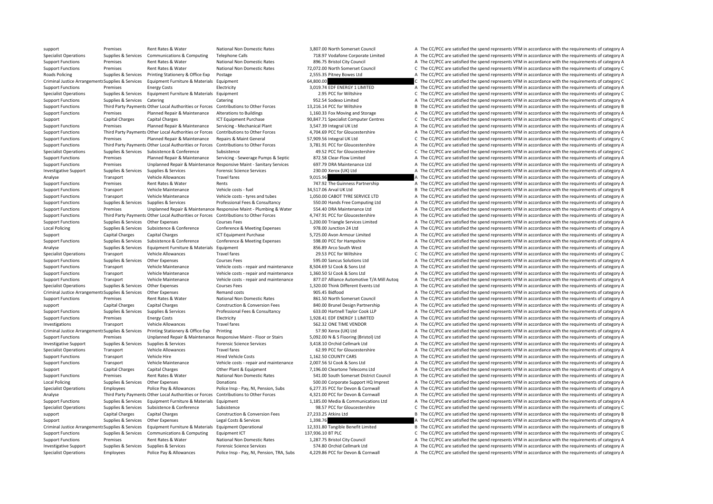Specialist Operations Supplies & Services Communications & Computing Telephone Calls 718.97 Vodafone Corporate Limited A The CC/PCC are satisfied the spend represents VFM in accordance with the requirements of category A Support Functions Premises Rent Rates & Water National Non Domestic Rates 896.75 Bristol City Council A The CC/PCC are satisfied the spend represents VFM in accordance with the requirements of category A Support Functions Premises Rent Rates & Water National Non Domestic Rates 72,072.00 North Somerset Council C The CC/PCC are satisfied the spend represents VFM in accordance with the requirements of category C Roads Policing Supplies & Services Printing Stationery & Office Exp Postage 2,555.35 Pitney Bowes Ltd A The CC/PCC are satisfied the spend represents VFM in accordance with the requirements of category A Criminal Justice Arrangements Supplies & Services Equipment Furniture & Materials Equipment Function Equipment 64,800.00 64,800.00 C The CC/PCC are satisfied the spend represents VFM in accordance with the requirements of Support Functions Premises Freew Costs Electricity Electricity 3,019.74 EDE ENERGY 1 LIMITED A The CC/PCC are satisfied the spend represents VFM in accordance with the requirements of category A Specialist Operations Supplies & Services Equipment Furniture & Materials Equipment 2.95 PCC for Wiltshire 2.95 PCC for Wiltshire C The CC/PCC are satisfied the spend represents VFM in accordance with the requirements of c Support Functions Supplies & Services Catering Catering Catering Catering Catering Support A The CC/PCC are satisfied the spend represents VFM in accordance with the requirements of category A Support Functions Third Party Payments Other Local Authorities or Forces Contributions to Other Forces 13,216.14 PCC for Wiltshire B The CC/PCC are satisfied the spend represents VFM in accordance with the requirements of Support Functions Premises Planned Repair & Maintenance Alterations to Buildings 1,160.33 Fox Moving and Storage A The CC/PCC are satisfied the spend represents VFM in accordance with the requirements of category A Support Capital Charges Capital Charges ICT Equipment Purchase 90,847.71 Specialist Computer Centres C The CC/PCC are satisfied the spend represents VFM in accordance with the requirements of category C Support Functions Premises Planned Repair & Maintenance Servicing - Mechanical Plant 3,547.39 Integral UK Ltd A The CC/PCC are satisfied the spend represents VFM in accordance with the requirements of category A Support Functions Third Party Payments Other Local Authorities or Forces Contributions to Other Forces 4,704.69 PCC for Gloucestershire A The CC/PCC are satisfied the spend represents VFM in accordance with the requirement Support Functions Premises Planned Repair & Maintenance Repairs & Maint General 57,909.56 Integral UK Ltd C The CC/PCC are satisfied the spend represents VFM in accordance with the requirements of category C Support Functions Third Party Payments Other Local Authorities or Forces Contributions to Other Forces 3.781.91 PCC for Gloucestershire A The CC/PCC are satisfied the spend represents VFM in accordance with the requirement Specialist Operations Supplies & Services Subsistence Subsistence Subsistence And a subsistence 49.52 PCC for Gloucestershire C The CC/PCC are satisfied the spend represents VFM in accordance with the requirements of categ Support Functions Premises Planned Repair & Maintenance Servicing - Sewerage Pumps & Septic 872.58 Clear‐Flow Limited A The CC/PCC are satisfied the spend represents VFM in accordance with the requirements of category A Support Functions Premises Unplanned Repair & Maintenance Responsive Maint - Sanitary Services 697.79 DRA Maintenance Ltd A The CC/PCC are satisfied the spend represents VFM in accordance with the requirements of category Investigative Support Supplies & Services Supplies & Services Forensic Science Services Forensic Science Services 230.00 Xerox (UK) Ltd A The CC/PCC are satisfied the spend represents VFM in accordance with the requirement Analyse Transport Vehicle Allowances Travel fares Travel fares 9,015.96 A The CC/PCC are satisfied the spend represents VFM in accordance with the requirements of category A Support Functions Premises Rent Rates & Water Rents Rents Rents 747.92 The Guinness Partnership A The CC/PCC are satisfied the spend represents VFM in accordance with the requirements of category A Support Functions Transport Vehicle Maintenance Vehicle costs - fuel 34,517.06 Arval UK Ltd B The CC/PCC are satisfied the spend represents VFM in accordance with the requirements of category B Support Functions Transport Vehicle Maintenance Vehicle costs - tyres and tubes 1,050.00 CABOT TYRE SERVICE LTD A The CC/PCC are satisfied the spend represents VFM in accordance with the requirements of category A Support Functions Supplies & Services Supplies & Services Professional Fees & Consultancy 550.00 Hands Free Computing Ltd A The CC/PCC are satisfied the spend represents VFM in accordance with the requirements of category Support Functions Premises Unplanned Repair & Maintenance Responsive Maint - Plumbing & Water 554.40 DRA Maintenance Ltd A The CC/PCC are satisfied the spend represents VFM in accordance with the requirements of category A Support Functions Third Party Payments Other Local Authorities or Forces Contributions to Other Forces at the Support of COPCC for Gloucestershire A The CC/PCC are satisfied the spend represents VFM in accordance with the Support Functions Supplies & Services Other Expenses Courses Fees Courses Fees 1,200.00 Triangle Services Limited A The CC/PCC are satisfied the spend represents VFM in accordance with the requirements of category A Local Policing Supplies & Services Subsistence & Conference Conference & Meeting Expenses 978.00 Junction 24 Ltd A The CC/PCC are satisfied the spend represents VFM in accordance with the requirements of category A Support Capital Charges Capital Charges ICT Equipment Purchase 5,725.00 Avon Armour Limited A The CC/PCC are satisfied the spend represents VFM in accordance with the requirements of category A Support Functions Supplies & Services Subsistence & Conference Conference & Meeting Expenses 598.00 PCC for Hampshire A The CC/PCC are satisfied the spend represents VFM in accordance with the requirements of category A Analyse Supplies & Services Equipment Furniture & Materials Equipment Supplies and BEGAS Arco South West A The CC/PCC are satisfied the spend represents VFM in accordance with the requirements of category A Specialist Operations Transport Vehicle Allowances Travel fares 29.53 PCC for Wiltshire C The CC/PCC are satisfied the spend represents VFM in accordance with the requirements of category C Support Functions Supplies & Services Other Expenses Courses Fees Courses Fees 595.00 Sancus Solutions Ltd A The CC/PCC are satisfied the spend represents VFM in accordance with the requirements of category A Support Functions Transport Vehicle Maintenance Vehicle costs - repair and maintenance 8,504.69 SJ Cook & Sons Ltd A The CC/PCC are satisfied the spend represents VFM in accordance with the requirements of category A Support Functions Transport Vehicle Maintenance Vehicle costs - repair and maintenance 1,360.50 SJ Cook & Sons Ltd A The CC/PCC are satisfied the spend represents VFM in accordance with the requirements of category A Support Functions Transport Vehicle Maintenance Vehicle costs - repair and maintenance 877.07 Alliance Automotive T/A Mill Auton A The CC/PCC are satisfied the spend represents VFM in accordance with the requirements of ca Specialist Operations Supplies & Services Other Expenses Courses Fees 2,320.00 Think Different Events Ltd A The CC/PCC are satisfied the spend represents VFM in accordance with the requirements of category A Criminal Justice Arrangements Supplies & Services Other Expenses A The Remand costs 905.45 Bidfood a The CC/PCC are satisfied the spend represents VFM in accordance with the requirements of category A Support Functions Premises Rent Rates & Water National Non Domestic Rates 861.50 North Somerset Council A The CC/PCC are satisfied the spend represents VFM in accordance with the requirements of category A support Capital Charges Capital Charges Construction & Conversion Fees 840.00 Brunel Design Partnership A The CC/PCC are satisfied the spend represents VFM in accordance with the requirements of category A Support Functions Supplies & Services Supplies & Services Professional Fees & Consultancy 633.00 Hartnell Taylor Cook LLP A The CC/PCC are satisfied the spend represents VFM in accordance with the requirements of category Support Functions Premises Energy Costs Electricity Electricity 1,928.41 EDF ENERGY 1 LIMITED A The CC/PCC are satisfied the spend represents VFM in accordance with the requirements of category A Investigations Transport Vehicle Allowances Travel fares Travel fares 562.32 ONE TIME VENDOR A The CC/PCC are satisfied the spend represents VFM in accordance with the requirements of category A Criminal Justice Arrangements Supplies & Services Printing Stationery & Office Exp Printing Frinting 57.90 Xerox (UK) Ltd A The CC/PCC are satisfied the spend represents VFM in accordance with the requirements of category Support Functions Premises Unplanned Repair & Maintenance Responsive Maint - Floor or Stairs 5,092.00 N & S Flooring (Bristol) Ltd A The CC/PCC are satisfied the spend represents VFM in accordance with the requirements of Investigative Support Supplies & Services Supplies & Services Forensic Science Services Forensic Science Services 3,418.10 Orchid Cellmark Ltd A The CC/PCC are satisfied the spend represents VFM in accordance with the requ Specialist Operations Transport Vehicle Allowances Travel fares Travel fares 62.99 PCC for Gloucestershire A The CC/PCC are satisfied the spend represents VFM in accordance with the requirements of category A Support Functions Transport Vehicle Hire Hired Vehicle Costs 1,162.50 COUNTY CARS A The CC/PCC are satisfied the spend represents VFM in accordance with the requirements of category A Support Functions Transport Vehicle Maintenance Vehicle costs - repair and maintenance 2,007.56 SJ Cook & Sons Ltd A The CC/PCC are satisfied the spend represents VFM in accordance with the requirements of category A Support Capital Charges Capital Charges Other Plant & Equipment 7,196.00 Cleartone Telecoms Ltd A The CC/PCC are satisfied the spend represents VFM in accordance with the requirements of category A Support Functions Premises Rent Rates & Water National Non Domestic Rates 541.00 South Somerset District Council A The CC/PCC are satisfied the spend represents VFM in accordance with the requirements of category A Local Policing Supplies & Services Other Expenses Donations Donations Donations 500.00 Corporate Support HQ Imprest A The CC/PCC are satisfied the spend represents VFM in accordance with the requirements of category A Specialist Operations Employees Police Pay & Allowances Police Insp - Pay, NI, Pension, Subs 6,277.35 PCC for Devon & Cornwall A The CC/PCC are satisfied the spend represents VFM in accordance with the requirements of cate Third Party Payments Other Local Authorities or Forces Contributions to Other Forces 4.321.00 PCC for Devon & Cornwall Analyse A The CC/PCC are satisfied the spend represents VFM in accordance with the requirements of cate Support Functions Supplies & Services Equipment Furniture & Materials Equipment 1,185.00 Media & Communications Ltd A The CC/PCC are satisfied the spend represents VFM in accordance with the requirements of category A Specialist Operations Supplies & Services Subsistence Subsistence Subsistence Subsistence Subsistence Subsistence Subsistence Subsistence Subsistence Subsistence Subsistence Subsistence 98.57 PCC for Gloucestershire C The support Capital Charges Capital Charges Capital Charges Construction & Conversion Fees 27,233.25 Atkins Ltd B The CC/PCC are satisfied the spend represents VFM in accordance with the requirements of category B Support Supp Support Supplies & Services Other Expenses Legal Costs & Services 1,398.76 A The CC/PCC are satisfied the spend represents VFM in accordance with the requirements of category A Criminal Justice Arrangements Supplies & Services Equipment Furniture & Materials Equipment Operational 22,331.80 Tangible Benefit Limited B The CC/PCC are satisfied the spend represents VFM in accordance with the requirem Support Functions Supplies & Services Communications & Computing Equipment ICT 137,936.10 BT PLC C The CC/PCC are satisfied the spend represents VFM in accordance with the requirements of category C Support Functions Premises Rent Rates & Water National Non Domestic Rates 1,287.75 Bristol City Council A The CC/PCC are satisfied the spend represents VFM in accordance with the requirements of category A Investigative Support Supplies & Services Supplies & Services Forensic Science Services Forensic Science Services 574.80 Orchid Cellmark Ltd A The CC/PCC are satisfied the spend represents VFM in accordance with the requir Specialist Operations Employees Police Pay & Allowances Police Inso-Pay NL Pension, TRA, Subs 4.229.86 PCC for Devon & Cornwall A The CC/PCC are satisfied the spend represents VFM in accordance with the requirements of cat

support Premises Rent Rates & Water National Non Domestic Rates 3,807.00 North Somerset Council A The CC/PCC are satisfied the spend represents VFM in accordance with the requirements of category A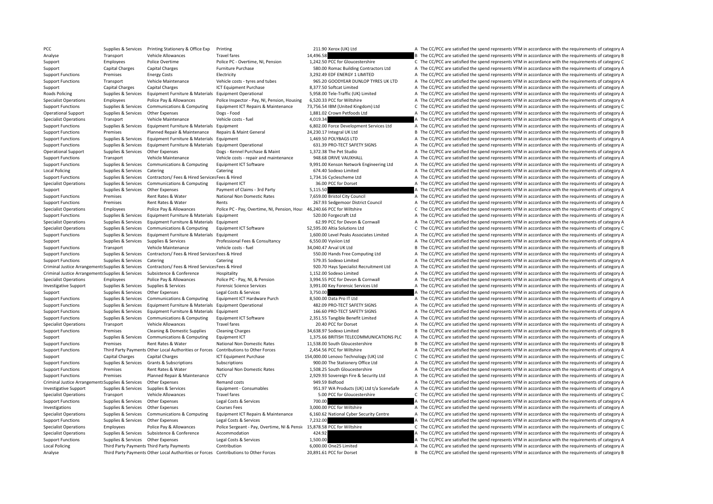Analyse Transport Vehicle Allowances Travel fares 14,496.58 14,496.58 B The CC/PCC are satisfied the spend represents VFM in accordance with the requirements of category B Support Employees Police Overtime Police PC - Overtime, NI, Pension 1,242.50 PCC for Gloucestershire C The CC/PCC are satisfied the spend represents VFM in accordance with the requirements of category C Support Capital Charges Capital Charges Furniture Purchase Furniture Purchase 580.00 Romac Building Contractors Ltd A The CC/PCC are satisfied the spend represents VFM in accordance with the requirements of category A Support Functions Premises Fnergy Costs Electricity Electricity 3,292.49 EDF ENERGY 1 LIMITED A The CC/PCC are satisfied the spend represents VFM in accordance with the requirements of category A Support Functions Transport Vehicle Maintenance Vehicle costs - tyres and tubes 965.20 GOODYEAR DUNLOP TYRES UK LTD A The CC/PCC are satisfied the spend represents VFM in accordance with the requirements of category A Support Capital Charges Capital Charges ICT Equipment Purchase 8,377.50 Softcat Limited A The CC/PCC are satisfied the spend represents VEM in accordance with the requirements of category A Roads Policing Supplies & Services Equipment Furniture & Materials Equipment Operational 5,958.00 Tele-Traffic (UK) Limited A The CC/PCC are satisfied the spend represents VFM in accordance with the requirements of categor Specialist Operations Employees Police Pay & Allowances Police Inspector - Pay, NI, Pension, Housing 6,520.33 PCC for Wiltshire A The CC/PCC are satisfied the spend represents VFM in accordance with the requirements of cat Support Functions Supplies & Services Communications & Computing Equipment ICT Repairs & Maintenance 73,756.54 IBM (United Kingdom) Ltd C The CC/PCC are satisfied the spend represents VFM in accordance with the requirement Operational Support Supplies & Services Other Expenses Dogs - Food 1,881.02 Crown Petfoods Ltd A The CC/PCC are satisfied the spend represents VFM in accordance with the requirements of category A Specialist Operations Transport Vehicle Maintenance Vehicle costs – fuel 4,019.34 A The CC/PCC are satisfied the spend represents VFM in accordance with the requirements of category A Support Functions Supplies & Services Equipment Furniture & Materials Equipment **6,802.00** Force Development Services Ltd A The CC/PCC are satisfied the spend represents VFM in accordance with the requirements of category Support Functions Premises Planned Repair & Maintenance Repairs & Maint General 24,230.17 Integral UK Ltd B The CC/PCC are satisfied the spend represents VFM in accordance with the requirements of category B Support Functi Support Functions Supplies & Services Equipment Furniture & Materials Equipment 1,469.50 POLYBAGS LTD A The CC/PCC are satisfied the spend represents VFM in accordance with the requirements of category A Support Functions Supplies & Services Faultoment Furniture & Materials Equipment Operational 631.39 PRO‐TECT SAFETY SIGNS A The CC/PCC are satisfied the spend represents VFM in accordance with the requirements of category Operational Support Supplies & Services Other Expenses Dogs - Kennel Purchase & Maint 1,372.38 The Pet Studio A The CC/PCC are satisfied the spend represents VFM in accordance with the requirements of category A Support Functions Transport Vehicle Maintenance Vehicle costs - repair and maintenance 948.68 DRIVE VAUXHALL A The CC/PCC are satisfied the spend represents VFM in accordance with the requirements of category A Supplies & Services Communications & Computing Equipment ICT Software 9.991.00 Kenson Network Engineering Ltd A The CC/PCC are satisfied the spend represents VFM in accordance with the requirements of category A Local Policing Supplies & Services Catering Catering Catering Catering Catering Catering Catering Catering Catering 674.40 Sodexo Limited A The CC/PCC are satisfied the spend represents VFM in accordance with the requireme Support Functions Supplies & Services Contractors/ Fees & Hired Services Fees & Hired 1,734.16 Cyclescheme Ltd A The CC/PCC are satisfied the spend represents VFM in accordance with the requirements of category A Specialist Operations Supplies & Services Communications & Computing Equipment ICT 36.00 PCC for Dorset A The CC/PCC are satisfied the spend represents VFM in accordance with the requirements of category A Support Supplies & Services Other Expenses Payment of Claims - 3rd Party 5,115.50 A The CC/PCC are satisfied the spend represents VFM in accordance with the requirements of category A Support Functions Premises Rent Rates & Water National Non Domestic Rates 7.659.00 Bristol City Council A The CC/PCC are satisfied the spend represents VFM in accordance with the requirements of category A Support Functions Premises Rent Rates & Water Rents Rents Rents 267.93 Sedgemoor District Council A The CC/PCC are satisfied the spend represents VFM in accordance with the requirements of category A Specialist Operations Employees Police Pay & Allowances Police PC - Pay, Overtime, NI, Pension, Hou: 46,240.66 PCC for Wiltshire C. The CC/PCC are satisfied the spend represents VFM in accordance with the requirements of c Support Functions Supplies & Services Faujoment Furniture & Materials Equipment 520.00 Forgecraft Ltd A The CC/PCC are satisfied the spend represents VFM in accordance with the requirements of category A Specialist Operations Supplies & Services Equipment Furniture & Materials Equipment 68 and Faceric Cornwall 62.99 PCC for Devon & Cornwall A The CC/PCC are satisfied the spend represents VFM in accordance with the requirem Specialist Operations Supplies & Services Communications & Computing Equipment ICT Software 52,595.00 Altia Solutions Ltd C The CC/PCC are satisfied the spend represents VFM in accordance with the requirements of category Support Functions Supplies & Services Equipment Furniture & Materials Equipment 1,600.00 Level Peaks Associates Limited A The CC/PCC are satisfied the spend represents VFM in accordance with the requirements of category A Support Supplies & Services Supplies & Services Professional Fees & Consultancy 6,550.00 Vysiion Ltd A The CC/PCC are satisfied the spend represents VFM in accordance with the requirements of category A Support Functions Transport Vehicle Maintenance Vehicle costs - fuel 34,040.47 Arval UK Ltd B The CC/PCC are satisfied the spend represents VFM in accordance with the requirements of category B Support Functions Supplies & Services Contractors/ Fees & Hired Services Fees & Hired 550.00 Hands Free Computing Ltd A The CC/PCC are satisfied the spend represents VFM in accordance with the requirements of category A Support Functions Supplies & Services Catering Catering Catering Catering Catering Catering Catering Catering Stategory A The CC/PCC are satisfied the spend represents VFM in accordance with the requirements of category A Criminal Justice Arrangements Supplies & Services Contractors/ Fees & Hired Services Fees & Hired Services Fees & Hired Services Fees & Hired Services Fees & Hired Services Fees & Hired Services Fees & Hired Services Fees Criminal Justice Arrangements Supplies & Services Subsistence & Conference Hospitality Hospitality 1,152.00 Sodexo Limited A The CC/PCC are satisfied the spend represents VFM in accordance with the requirements of category Specialist Operations Employees Police Pay & Allowances Police PC · Pay, NI, & Pension 3,994.55 PCC for Devon & Cornwall A The CC/PCC are satisfied the spend represents VFM in accordance with the requirements of category A Investigative Support Supplies & Services Supplies & Services Forensic Science Services 3,991.00 Key Forensic Services Ltd A The CC/PCC are satisfied the spend represents VFM in accordance with the requirements of category Support Supplies & Services Other Expenses Legal Costs & Services 3,750.00 A The CC/PCC are satisfied the spend represents VFM in accordance with the requirements of category A Support Functions Supplies & Services Communications & Computing Equipment ICT Hardware Purch 8,500.00 Data Pro IT Ltd A The CC/PCC are satisfied the spend represents VFM in accordance with the requirements of category A T Support Functions Supplies & Services Equipment Furniture & Materials Equipment Operational 482.09 PRO‐TECT SAFETY SIGNS A The CC/PCC are satisfied the spend represents VFM in accordance with the requirements of category A Support Functions Supplies & Services Equipment Furniture & Materials Equipment 166.60 PRO‐TECT SAFETY SIGNS A The CC/PCC are satisfied the spend represents VFM in accordance with the requirements of category A Support Functions Supplies & Services Communications & Computing Equipment ICT Software 2,351.55 Tangible Benefit Limited A The CC/PCC are satisfied the spend represents VFM in accordance with the requirements of category Specialist Operations Transport Vehicle Allowances Travel fares 20.40 PCC for Dorset A The CC/PCC are satisfied the spend represents VFM in accordance with the requirements of category A Support Functions Premises Cleaning & Domestic Supplies Cleaning Charges 34,638.97 Sodexo Limited B The CC/PCC are satisfied the spend represents VFM in accordance with the requirements of category B Support Supplies & Services Communications & Computing Equipment ICT 1,375.66 BRITISH TELECOMMUNICATIONS PLC A The CC/PCC are satisfied the spend represents VFM in accordance with the requirements of category A Support Functions Premises Rent Rates & Water National Non Domestic Rates 11,538.00 South Gloucestershire B The CC/PCC are satisfied the spend represents VFM in accordance with the requirements of category B Support Functions Third Party Payments Other Local Authorities or Forces Contributions to Other Forces 2.454.56 PCC for Wiltshire A The CC/PCC are satisfied the spend represents VFM in accordance with the requirements of c Support Capital Charges Capital Charges ICT Equipment Purchase 154,000.00 Lenovo Technology (UK) Ltd C The CC/PCC are satisfied the spend represents VFM in accordance with the requirements of category C Support Functions Supportes Support Grants & Subscriptions Subscriptions Subscriptions Subscriptions Subscriptions 900.00 The Stationery Office Ltd A The CC/PCC are satisfied the spend represents VFM in accordance with the Support Functions Premises Rent Rates & Water National Non Domestic Rates 1,508.25 South Gloucestershire A The CC/PCC are satisfied the spend represents VFM in accordance with the requirements of category A Support Functions Premises Planned Repair & Maintenance CCTV 2,929.93 Sovereign Fire & Security Ltd A The CC/PCC are satisfied the spend represents VFM in accordance with the requirements of category A Criminal Justice Arrangements Supplies & Services Other Expenses Remand costs Remand costs Remand costs 949.59 Bidfood A The CC/PCC are satisfied the spend represents VFM in accordance with the requirements of category A Investigative Support Supplies & Services Supplies & Services Equipment - Consumables Equipment - Consumables 951.97 WA Products (UK) Ltd t/a SceneSafe A The CC/PCC are satisfied the spend represents VFM in accordance with Specialist Operations Transport Vehicle Allowances Travel fares Travel fares 5.00 PCC for Gloucestershire C The CC/PCC are satisfied the spend represents VFM in accordance with the requirements of category C Support Functions Supplies & Services Other Expenses Legal Costs & Services 2012 100.00 A The CC/PCC are satisfied the spend represents VFM in accordance with the requirements of category A Investigations Supplies & Services Other Expenses Courses Fees Supplies A The CC/PCC are satisfied the spend represents VFM in accordance with the requirements of category A Specialist Operations Supplies & Services Communications & Computing Equipment ICT Repairs & Maintenance 6,160.62 National Cyber Security Centre A The CC/PCC are satisfied the spend represents VFM in accordance with the re Support Functions Supplies & Services Other Expenses Legal Costs & Services 7,232.00 A The CC/PCC are satisfied the spend represents VFM in accordance with the requirements of category A Specialist Operations Employees Police Pay & Allowances Police Sergeant - Pay, Overtime, NI & Pensi 15,878.58 PCC for Wiltshire C The CC/PCC are satisfied the spend represents VFM in accordance with the requirements of cat Specialist Operations Supplies & Services Subsistence & Conference Accommodation 424.92 424.92 A The CC/PCC are satisfied the spend represents VFM in accordance with the requirements of category A Support Functions Supplies & Services Other Expenses Legal Costs & Services 1,500.00 A The CC/PCC are satisfied the spend represents VFM in accordance with the requirements of category A Local Policing Third Party Payments Third Party Payments Contribution Contribution 6,000.00 One25 Limited A The CC/PCC are satisfied the spend represents VFM in accordance with the requirements of category A Analyse Third Party Payments Other Local Authorities or Forces Contributions to Other Forces 20,891.61 PCC for Dorset B The CC/PCC are satisfied the spend represents VFM in accordance with the requirements of category B

PCC Supplies & Services Printing Stationery & Office Exp Printing 211.90 Xerox (UK) Ltd A The CC/PCC are satisfied the spend represents VFM in accordance with the requirements of category A